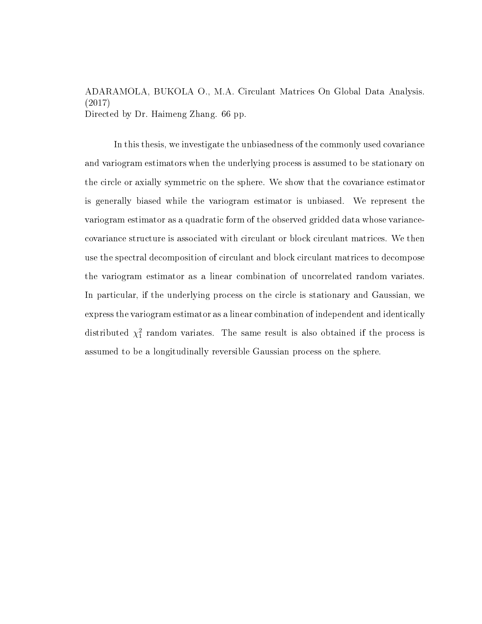ADARAMOLA, BUKOLA O., M.A. Circulant Matrices On Global Data Analysis. (2017) Directed by Dr. Haimeng Zhang. [66](#page-72-0) pp.

In this thesis, we investigate the unbiasedness of the commonly used covariance and variogram estimators when the underlying process is assumed to be stationary on the circle or axially symmetric on the sphere. We show that the covariance estimator is generally biased while the variogram estimator is unbiased. We represent the variogram estimator as a quadratic form of the observed gridded data whose variancecovariance structure is associated with circulant or block circulant matrices. We then use the spectral decomposition of circulant and block circulant matrices to decompose the variogram estimator as a linear combination of uncorrelated random variates. In particular, if the underlying process on the circle is stationary and Gaussian, we express the variogram estimator as a linear combination of independent and identically distributed  $\chi_1^2$  random variates. The same result is also obtained if the process is assumed to be a longitudinally reversible Gaussian process on the sphere.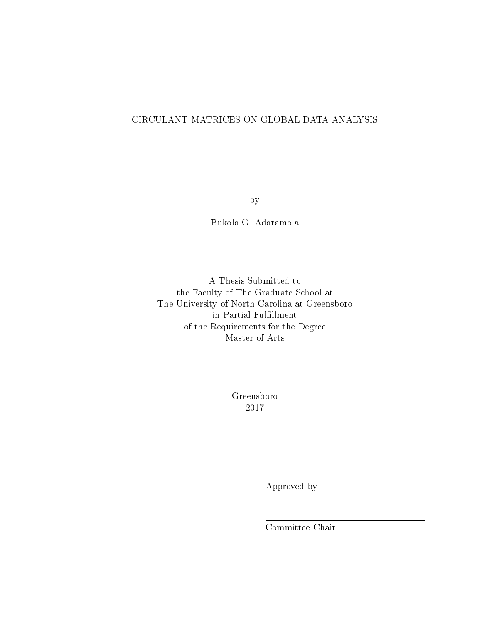### CIRCULANT MATRICES ON GLOBAL DATA ANALYSIS

by

Bukola O. Adaramola

A Thesis Submitted to the Faculty of The Graduate School at The University of North Carolina at Greensboro in Partial Fulfillment of the Requirements for the Degree Master of Arts

> Greensboro 2017

> > Approved by

Committee Chair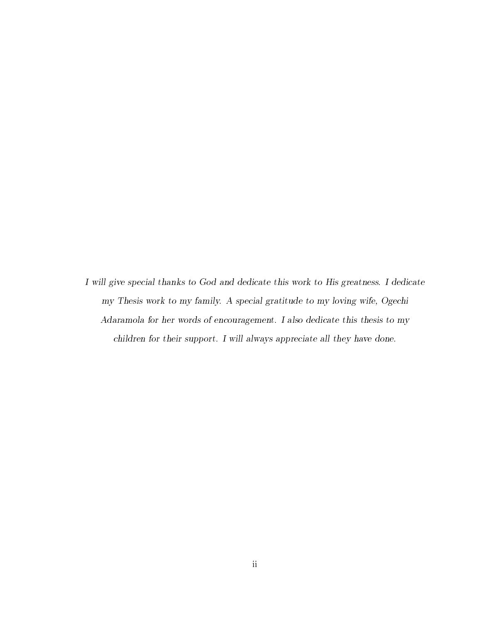I will give special thanks to God and dedicate this work to His greatness. I dedicate my Thesis work to my family. A special gratitude to my loving wife, Ogechi Adaramola for her words of encouragement. I also dedicate this thesis to my children for their support. I will always appreciate all they have done.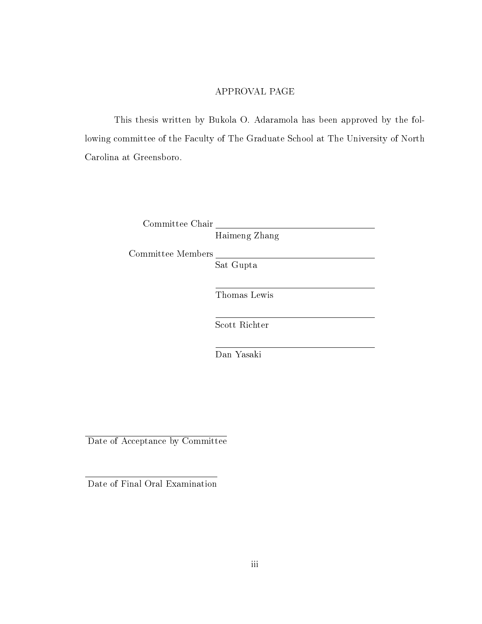### APPROVAL PAGE

This thesis written by Bukola O. Adaramola has been approved by the following committee of the Faculty of The Graduate School at The University of North Carolina at Greensboro.

Committee Chair

Haimeng Zhang

Committee Members

Sat Gupta

Thomas Lewis

Scott Richter

Dan Yasaki

Date of Acceptance by Committee

Date of Final Oral Examination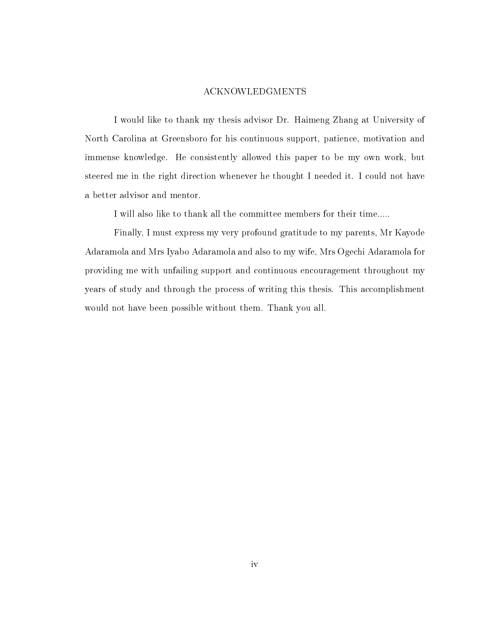#### ACKNOWLEDGMENTS

I would like to thank my thesis advisor Dr. Haimeng Zhang at University of North Carolina at Greensboro for his continuous support, patience, motivation and immense knowledge. He consistently allowed this paper to be my own work, but steered me in the right direction whenever he thought I needed it. I could not have a better advisor and mentor.

I will also like to thank all the committee members for their time.....

Finally, I must express my very profound gratitude to my parents, Mr Kayode Adaramola and Mrs Iyabo Adaramola and also to my wife, Mrs Ogechi Adaramola for providing me with unfailing support and continuous encouragement throughout my years of study and through the process of writing this thesis. This accomplishment would not have been possible without them. Thank you all.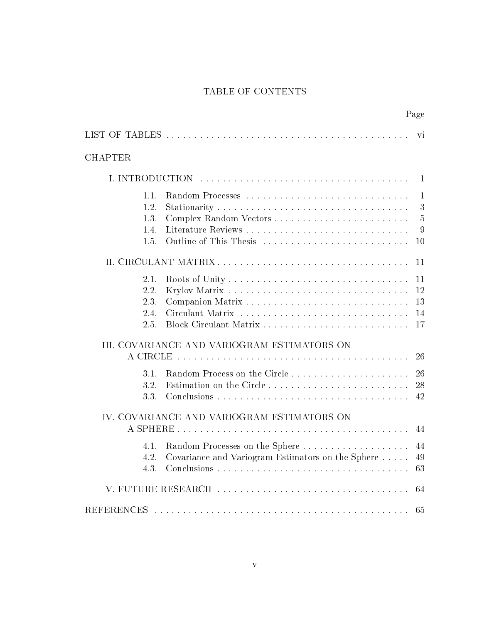# TABLE OF CONTENTS

Page

<span id="page-5-0"></span>

| <b>CHAPTER</b>                       |                                                                                     |                                                |
|--------------------------------------|-------------------------------------------------------------------------------------|------------------------------------------------|
|                                      |                                                                                     |                                                |
| 1.1.<br>1.2.<br>1.3.<br>1.4.<br>1.5. | Random Processes<br>Outline of This Thesis                                          | $\mathbf{1}$<br>3<br>$\overline{5}$<br>9<br>10 |
| II. CIRCULANT MATRIX                 |                                                                                     | 11                                             |
| 2.1.<br>2.2.<br>2.3.<br>2.4.<br>2.5. |                                                                                     | 11<br>12<br>13<br>14<br>17                     |
|                                      | III. COVARIANCE AND VARIOGRAM ESTIMATORS ON                                         | 26                                             |
| 3.1.<br>3.2.<br>3.3.                 | Estimation on the Circle                                                            | 26<br>28<br>42                                 |
|                                      | IV. COVARIANCE AND VARIOGRAM ESTIMATORS ON                                          | 44                                             |
| 4.1.<br>4.2.<br>4.3.                 | Random Processes on the Sphere<br>Covariance and Variogram Estimators on the Sphere | 44<br>49<br>63                                 |
|                                      |                                                                                     | 64                                             |
| <b>REFERENCES</b>                    |                                                                                     | 65                                             |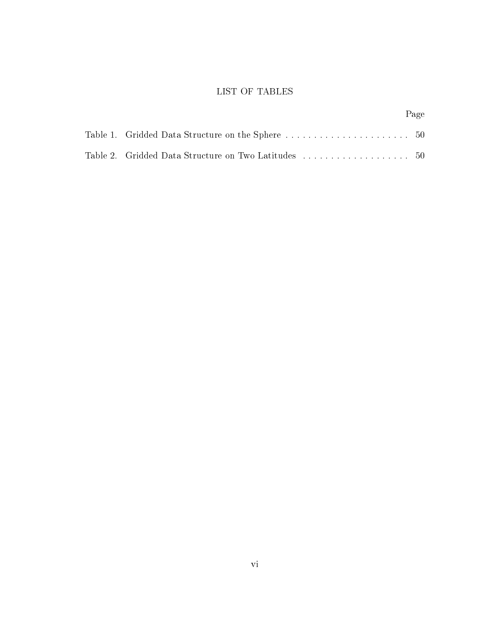# LIST OF TABLES

|                                                                    | Page |
|--------------------------------------------------------------------|------|
|                                                                    |      |
| Table 2. $\,$ Gridded Data Structure on Two Latitudes $\,$ 50 $\,$ |      |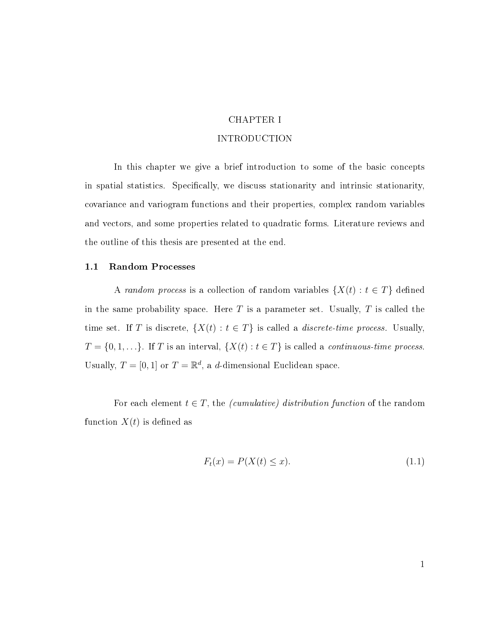### CHAPTER I

### INTRODUCTION

<span id="page-7-0"></span>In this chapter we give a brief introduction to some of the basic concepts in spatial statistics. Specifically, we discuss stationarity and intrinsic stationarity, covariance and variogram functions and their properties, complex random variables and vectors, and some properties related to quadratic forms. Literature reviews and the outline of this thesis are presented at the end.

#### <span id="page-7-1"></span>1.1 Random Processes

A random process is a collection of random variables  $\{X(t): t \in T\}$  defined in the same probability space. Here  $T$  is a parameter set. Usually,  $T$  is called the time set. If T is discrete,  $\{X(t): t \in T\}$  is called a *discrete-time process*. Usually,  $T = \{0, 1, \ldots\}$ . If T is an interval,  $\{X(t) : t \in T\}$  is called a *continuous-time process*. Usually,  $T = [0, 1]$  or  $T = \mathbb{R}^d$ , a d-dimensional Euclidean space.

For each element  $t \in T$ , the *(cumulative)* distribution function of the random function  $X(t)$  is defined as

$$
F_t(x) = P(X(t) \le x). \tag{1.1}
$$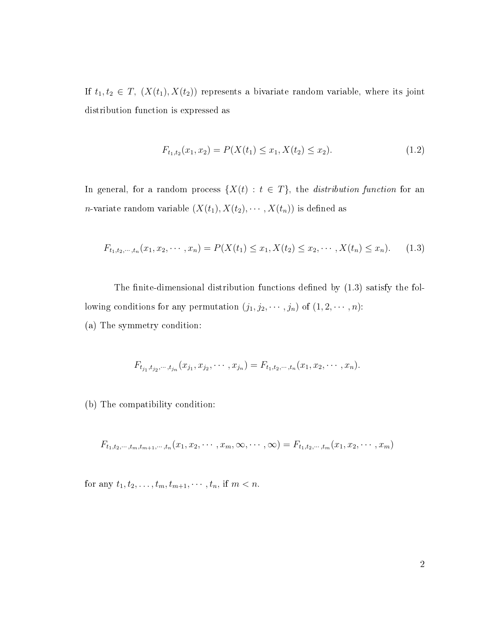If  $t_1, t_2 \in T$ ,  $(X(t_1), X(t_2))$  represents a bivariate random variable, where its joint distribution function is expressed as

$$
F_{t_1,t_2}(x_1,x_2) = P(X(t_1) \le x_1, X(t_2) \le x_2). \tag{1.2}
$$

In general, for a random process  $\{X(t): t \in T\}$ , the *distribution function* for an *n*-variate random variable  $(X(t_1), X(t_2), \cdots, X(t_n))$  is defined as

<span id="page-8-0"></span>
$$
F_{t_1,t_2,\dots,t_n}(x_1,x_2,\dots,x_n) = P(X(t_1) \le x_1, X(t_2) \le x_2,\dots,X(t_n) \le x_n). \tag{1.3}
$$

The finite-dimensional distribution functions defined by  $(1.3)$  satisfy the following conditions for any permutation  $(j_1, j_2, \dots, j_n)$  of  $(1, 2, \dots, n)$ : (a) The symmetry condition:

$$
F_{t_{j_1},t_{j_2},\cdots,t_{j_n}}(x_{j_1},x_{j_2},\cdots,x_{j_n})=F_{t_{1},t_{2},\cdots,t_{n}}(x_1,x_2,\cdots,x_n).
$$

(b) The compatibility condition:

$$
F_{t_1,t_2,\dots,t_m,t_{m+1},\dots,t_n}(x_1,x_2,\dots,x_m,\infty,\dots,\infty)=F_{t_1,t_2,\dots,t_m}(x_1,x_2,\dots,x_m)
$$

for any  $t_1, t_2, \ldots, t_m, t_{m+1}, \cdots, t_n$ , if  $m < n$ .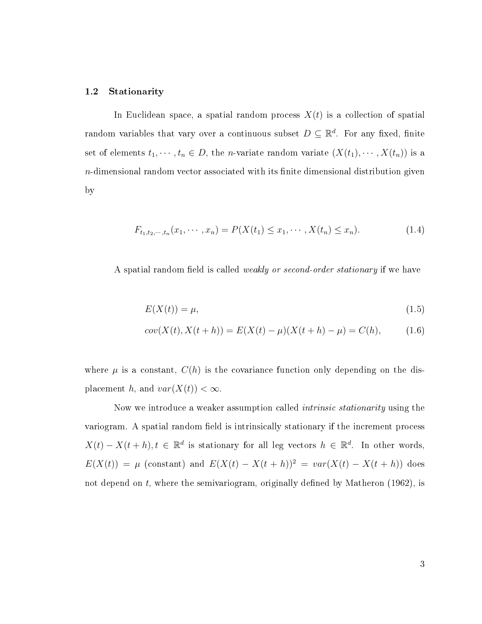#### <span id="page-9-0"></span>1.2 Stationarity

In Euclidean space, a spatial random process  $X(t)$  is a collection of spatial random variables that vary over a continuous subset  $D \subseteq \mathbb{R}^d$ . For any fixed, finite set of elements  $t_1, \dots, t_n \in D$ , the *n*-variate random variate  $(X(t_1), \dots, X(t_n))$  is a  $n$ -dimensional random vector associated with its finite dimensional distribution given by

$$
F_{t_1, t_2, \dots, t_n}(x_1, \dots, x_n) = P(X(t_1) \le x_1, \dots, X(t_n) \le x_n). \tag{1.4}
$$

A spatial random field is called *weakly or second-order stationary* if we have

$$
E(X(t)) = \mu,\tag{1.5}
$$

$$
cov(X(t), X(t+h)) = E(X(t) - \mu)(X(t+h) - \mu) = C(h),
$$
\n(1.6)

where  $\mu$  is a constant,  $C(h)$  is the covariance function only depending on the displacement h, and  $var(X(t)) < \infty$ .

Now we introduce a weaker assumption called *intrinsic stationarity* using the variogram. A spatial random field is intrinsically stationary if the increment process  $X(t) - X(t+h), t \in \mathbb{R}^d$  is stationary for all leg vectors  $h \in \mathbb{R}^d$ . In other words,  $E(X(t)) = \mu$  (constant) and  $E(X(t) - X(t + h))^2 = var(X(t) - X(t + h))$  does not depend on  $t$ , where the semivariogram, originally defined by Matheron (1962), is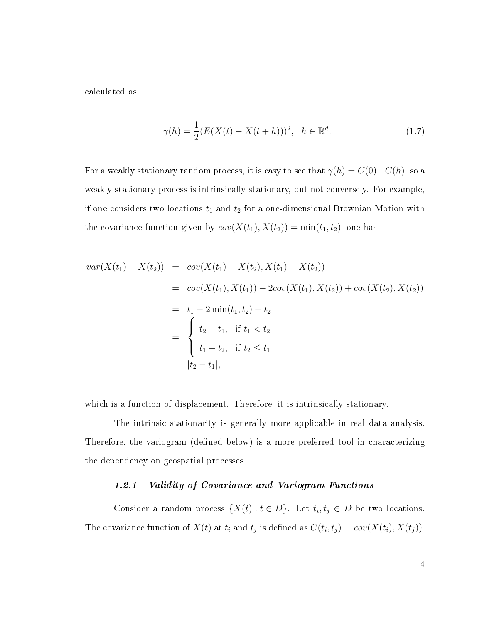calculated as

$$
\gamma(h) = \frac{1}{2}(E(X(t) - X(t+h)))^2, \quad h \in \mathbb{R}^d.
$$
 (1.7)

For a weakly stationary random process, it is easy to see that  $\gamma(h) = C(0) - C(h)$ , so a weakly stationary process is intrinsically stationary, but not conversely. For example, if one considers two locations  $t_1$  and  $t_2$  for a one-dimensional Brownian Motion with the covariance function given by  $cov(X(t_1), X(t_2)) = min(t_1, t_2)$ , one has

$$
var(X(t_1) - X(t_2)) = cov(X(t_1) - X(t_2), X(t_1) - X(t_2))
$$
  
=  $cov(X(t_1), X(t_1)) - 2cov(X(t_1), X(t_2)) + cov(X(t_2), X(t_2))$   
=  $t_1 - 2 min(t_1, t_2) + t_2$   
= 
$$
\begin{cases} t_2 - t_1, & \text{if } t_1 < t_2 \\ t_1 - t_2, & \text{if } t_2 \le t_1 \\ t_2 - t_1, & \text{if } t_2 \le t_1 \end{cases}
$$

which is a function of displacement. Therefore, it is intrinsically stationary.

The intrinsic stationarity is generally more applicable in real data analysis. Therefore, the variogram (defined below) is a more preferred tool in characterizing the dependency on geospatial processes.

#### 1.2.1 Validity of Covariance and Variogram Functions

Consider a random process  $\{X(t): t \in D\}$ . Let  $t_i, t_j \in D$  be two locations. The covariance function of  $X(t)$  at  $t_i$  and  $t_j$  is defined as  $C(t_i, t_j) = cov(X(t_i), X(t_j)).$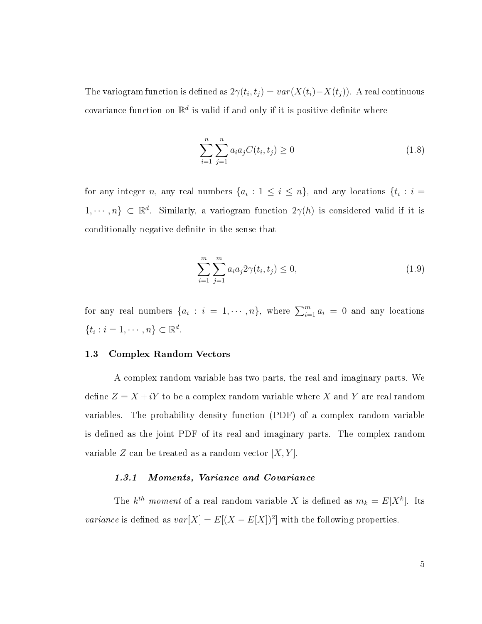The variogram function is defined as  $2\gamma(t_i,t_j) = var(X(t_i)-X(t_j)).$  A real continuous covariance function on  $\mathbb{R}^d$  is valid if and only if it is positive definite where

$$
\sum_{i=1}^{n} \sum_{j=1}^{n} a_i a_j C(t_i, t_j) \ge 0
$$
\n(1.8)

for any integer n, any real numbers  $\{a_i: 1 \le i \le n\}$ , and any locations  $\{t_i: i =$  $1, \dots, n\} \subset \mathbb{R}^d$ . Similarly, a variogram function  $2\gamma(h)$  is considered valid if it is conditionally negative definite in the sense that

$$
\sum_{i=1}^{m} \sum_{j=1}^{m} a_i a_j 2\gamma(t_i, t_j) \le 0,
$$
\n(1.9)

for any real numbers  $\{a_i : i = 1, \dots, n\}$ , where  $\sum_{i=1}^m a_i = 0$  and any locations  $\{t_i : i = 1, \cdots, n\} \subset \mathbb{R}^d$ .

#### <span id="page-11-0"></span>1.3 Complex Random Vectors

A complex random variable has two parts, the real and imaginary parts. We define  $Z = X + iY$  to be a complex random variable where X and Y are real random variables. The probability density function (PDF) of a complex random variable is defined as the joint PDF of its real and imaginary parts. The complex random variable Z can be treated as a random vector  $[X, Y]$ .

#### 1.3.1 Moments, Variance and Covariance

The  $k^{th}$  moment of a real random variable X is defined as  $m_k = E[X^k]$ . Its *variance* is defined as  $var[X] = E[(X - E[X])^2]$  with the following properties.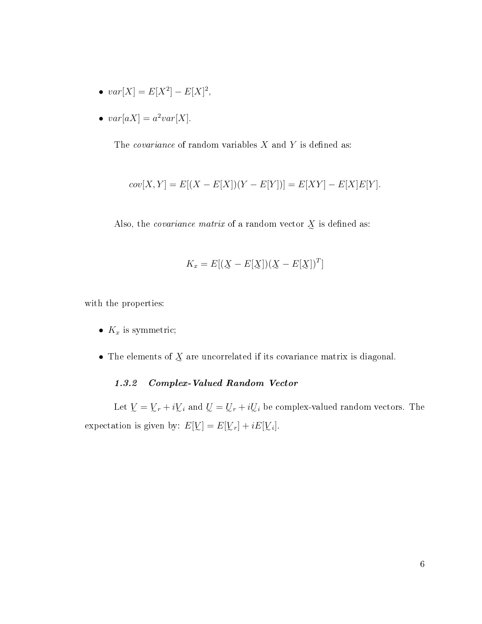- $var[X] = E[X^2] E[X]^2$ ,
- $var[aX] = a^2 var[X]$ .

The *covariance* of random variables  $X$  and  $Y$  is defined as:

$$
cov[X, Y] = E[(X - E[X])(Y - E[Y])] = E[XY] - E[X]E[Y].
$$

Also, the *covariance matrix* of a random vector  $\chi$  is defined as:

$$
K_x = E[(\underline{X} - E[\underline{X}])(\underline{X} - E[\underline{X}])^T]
$$

with the properties:

- $K_x$  is symmetric;
- The elements of  $X$  are uncorrelated if its covariance matrix is diagonal.

# 1.3.2 Complex-Valued Random Vector

Let  $\underline{V} = \underline{V}_r + i\underline{V}_i$  and  $\underline{U} = \underline{U}_r + i\underline{U}_i$  be complex-valued random vectors. The expectation is given by:  $E[\underline{V}] = E[\underline{V}_r] + i\Delta$  $]=E[\underline{V}]$  $_{r}]+iE[\underline{V}% _{t}e_{t}+\underline{V}_{t}e_{t}+\underline{V}_{t}e_{t}+\underline{V}_{t}% +\underline{V}_{t}e_{t}+\underline{V}_{t}% +\underline{V}_{t}e_{t}+\underline{V}_{t}% +\underline{V}_{t}e_{t}+\underline{V}_{t}% +\underline{V}_{t}e_{t}+\underline{V}_{t}% +\underline{V}_{t}e_{t}+\underline{V}_{t}% +\underline{V}_{t}e_{t}+\underline{V}_{t}% +\underline{V}_{t}e_{t}+\underline{V}_{t}% +\underline{V}_{t}e_{t}+\underline{V}_{t}% +\underline{V}_{t}e_{t}+\underline{V}_{t}% +$ i ].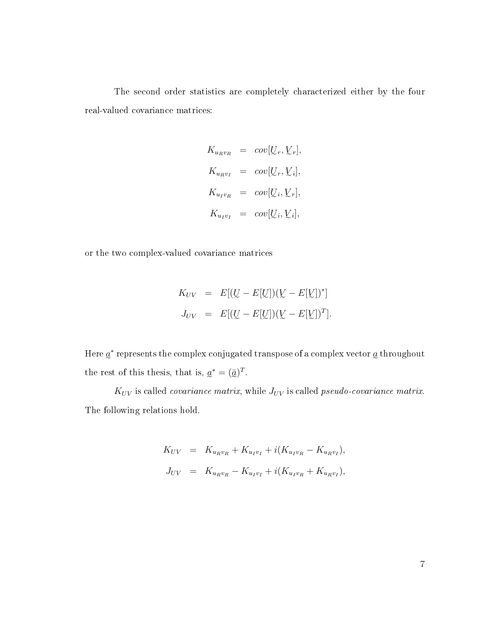The second order statistics are completely characterized either by the four real-valued covariance matrices:

$$
K_{u_Rv_R} = cov[U_r, V_r],
$$
  
\n
$$
K_{u_Rv_I} = cov[U_r, V_i],
$$
  
\n
$$
K_{u_Iv_R} = cov[U_i, V_r],
$$
  
\n
$$
K_{u_Iv_I} = cov[U_i, V_i],
$$

or the two complex-valued covariance matrices

$$
K_{UV} = E[(\underline{U} - E[\underline{U}])(\underline{V} - E[\underline{V}])^{*}]
$$
  

$$
J_{UV} = E[(\underline{U} - E[\underline{U}])(\underline{V} - E[\underline{V}])^{T}].
$$

Here  $a^*$  represents the complex conjugated transpose of a complex vector  $a$  throughout the rest of this thesis, that is,  $a^* = (\bar{a})^T$ .

 $K_{UV}$  is called *covariance matrix*, while  $J_{UV}$  is called *pseudo-covariance matrix*. The following relations hold.

$$
K_{UV} = K_{u_R v_R} + K_{u_I v_I} + i(K_{u_I v_R} - K_{u_R v_I}),
$$
  
\n
$$
J_{UV} = K_{u_R v_R} - K_{u_I v_I} + i(K_{u_I v_R} + K_{u_R v_I}),
$$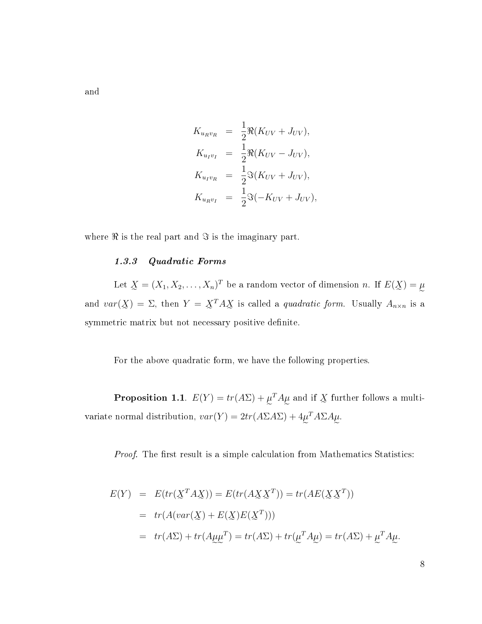and

$$
K_{u_R v_R} = \frac{1}{2} \Re(K_{UV} + J_{UV}),
$$
  
\n
$$
K_{u_I v_I} = \frac{1}{2} \Re(K_{UV} - J_{UV}),
$$
  
\n
$$
K_{u_I v_R} = \frac{1}{2} \Im(K_{UV} + J_{UV}),
$$
  
\n
$$
K_{u_R v_I} = \frac{1}{2} \Im(-K_{UV} + J_{UV}),
$$

where  $\Re$  is the real part and  $\Im$  is the imaginary part.

### 1.3.3 Quadratic Forms

Let  $\underline{X} = (X_1, X_2, \dots, X_n)^T$  be a random vector of dimension n. If  $E(\underline{X}) = \mu$ and  $var(\underline{X}) = \Sigma$ , then  $Y = \underline{X}^T A \underline{X}$  is called a *quadratic form*. Usually  $A_{n \times n}$  is a symmetric matrix but not necessary positive definite.

For the above quadratic form, we have the following properties.

**Proposition 1.1**.  $E(Y) = tr(A\Sigma) + \mu^T A \mu$  and if X further follows a multivariate normal distribution,  $var(Y) = 2tr(A\Sigma A \Sigma) + 4\mu^T A \Sigma A \mu$ .

Proof. The first result is a simple calculation from Mathematics Statistics:

$$
E(Y) = E(tr(\underline{X}^T A \underline{X})) = E(tr(A \underline{X} \underline{X}^T)) = tr(AE(\underline{X} \underline{X}^T))
$$
  
=  $tr(A(var(\underline{X}) + E(\underline{X})E(\underline{X}^T)))$   
=  $tr(A\Sigma) + tr(A\mu\mu^T) = tr(A\Sigma) + tr(\mu^T A \mu) = tr(A\Sigma) + \mu^T A \mu$ .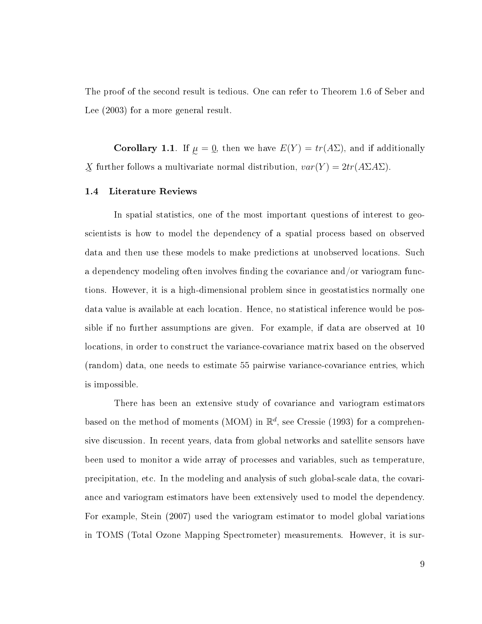The proof of the second result is tedious. One can refer to Theorem 1.6 of Seber and Lee (2003) for a more general result.

**Corollary 1.1**. If  $\mu = \mathbf{Q}$ , then we have  $E(Y) = tr(A\Sigma)$ , and if additionally  $\chi$  further follows a multivariate normal distribution,  $var(Y) = 2tr(A\Sigma A \Sigma)$ .

#### <span id="page-15-0"></span>1.4 Literature Reviews

In spatial statistics, one of the most important questions of interest to geoscientists is how to model the dependency of a spatial process based on observed data and then use these models to make predictions at unobserved locations. Such a dependency modeling often involves finding the covariance and/or variogram functions. However, it is a high-dimensional problem since in geostatistics normally one data value is available at each location. Hence, no statistical inference would be possible if no further assumptions are given. For example, if data are observed at 10 locations, in order to construct the variance-covariance matrix based on the observed (random) data, one needs to estimate 55 pairwise variance-covariance entries, which is impossible.

There has been an extensive study of covariance and variogram estimators based on the method of moments (MOM) in  $\mathbb{R}^d$ , see Cressie (1993) for a comprehensive discussion. In recent years, data from global networks and satellite sensors have been used to monitor a wide array of processes and variables, such as temperature, precipitation, etc. In the modeling and analysis of such global-scale data, the covariance and variogram estimators have been extensively used to model the dependency. For example, Stein (2007) used the variogram estimator to model global variations in TOMS (Total Ozone Mapping Spectrometer) measurements. However, it is sur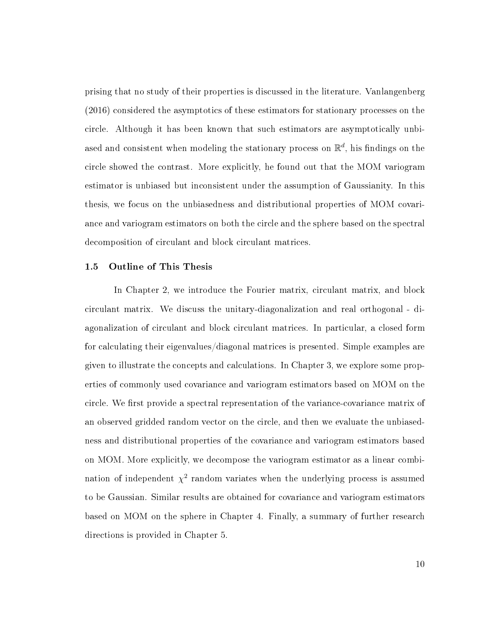prising that no study of their properties is discussed in the literature. Vanlangenberg (2016) considered the asymptotics of these estimators for stationary processes on the circle. Although it has been known that such estimators are asymptotically unbiased and consistent when modeling the stationary process on  $\mathbb{R}^d$ , his findings on the circle showed the contrast. More explicitly, he found out that the MOM variogram estimator is unbiased but inconsistent under the assumption of Gaussianity. In this thesis, we focus on the unbiasedness and distributional properties of MOM covariance and variogram estimators on both the circle and the sphere based on the spectral decomposition of circulant and block circulant matrices.

#### <span id="page-16-0"></span>1.5 Outline of This Thesis

In Chapter 2, we introduce the Fourier matrix, circulant matrix, and block circulant matrix. We discuss the unitary-diagonalization and real orthogonal - diagonalization of circulant and block circulant matrices. In particular, a closed form for calculating their eigenvalues/diagonal matrices is presented. Simple examples are given to illustrate the concepts and calculations. In Chapter 3, we explore some properties of commonly used covariance and variogram estimators based on MOM on the circle. We first provide a spectral representation of the variance-covariance matrix of an observed gridded random vector on the circle, and then we evaluate the unbiasedness and distributional properties of the covariance and variogram estimators based on MOM. More explicitly, we decompose the variogram estimator as a linear combination of independent  $\chi^2$  random variates when the underlying process is assumed to be Gaussian. Similar results are obtained for covariance and variogram estimators based on MOM on the sphere in Chapter 4. Finally, a summary of further research directions is provided in Chapter 5.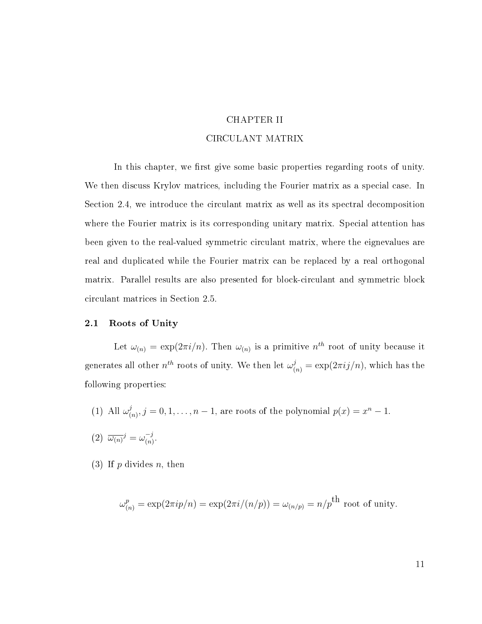# CHAPTER II CIRCULANT MATRIX

<span id="page-17-0"></span>In this chapter, we first give some basic properties regarding roots of unity. We then discuss Krylov matrices, including the Fourier matrix as a special case. In Section 2.4, we introduce the circulant matrix as well as its spectral decomposition where the Fourier matrix is its corresponding unitary matrix. Special attention has been given to the real-valued symmetric circulant matrix, where the eignevalues are real and duplicated while the Fourier matrix can be replaced by a real orthogonal matrix. Parallel results are also presented for block-circulant and symmetric block circulant matrices in Section 2.5.

#### <span id="page-17-1"></span>2.1 Roots of Unity

Let  $\omega_{(n)} = \exp(2\pi i/n)$ . Then  $\omega_{(n)}$  is a primitive  $n^{th}$  root of unity because it generates all other  $n^{th}$  roots of unity. We then let  $\omega_{(n)}^j = \exp(2\pi i j/n)$ , which has the following properties:

- (1) All  $\omega_0^j$  $(a_{(n)}^j, j = 0, 1, \ldots, n-1$ , are roots of the polynomial  $p(x) = x^n - 1$ .
- $(2) \ \overline{\omega_{(n)}}^j = \omega_{(n)}^{-j}$  $\frac{-j}{(n)}$ .
- (3) If  $p$  divides  $n$ , then

$$
\omega_{(n)}^p = \exp(2\pi i p/n) = \exp(2\pi i/(n/p)) = \omega_{(n/p)} = n/p^{\text{th}}
$$
 root of unity.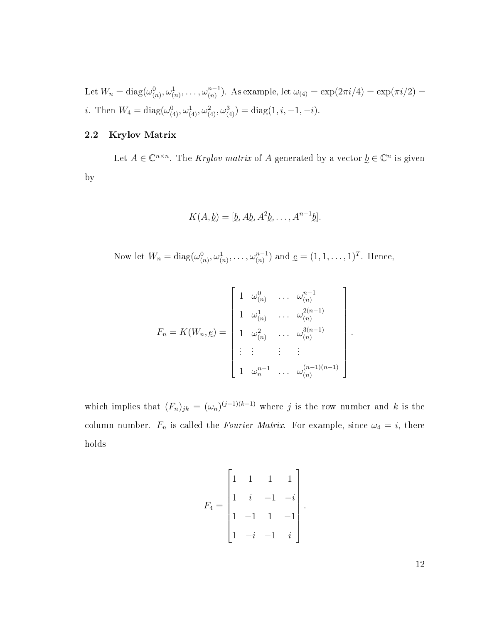Let  $W_n = \text{diag}(\omega_{(n)}^0, \omega_{(n)}^1, \dots, \omega_{(n)}^{n-1})$ . As example, let  $\omega_{(4)} = \exp(2\pi i/4) = \exp(\pi i/2) =$ *i*. Then  $W_4 = \text{diag}(\omega_{(4)}^0, \omega_{(4)}^1, \omega_{(4)}^2, \omega_{(4)}^3) = \text{diag}(1, i, -1, -i)$ .

### <span id="page-18-0"></span>2.2 Krylov Matrix

Let  $A \in \mathbb{C}^{n \times n}$ . The Krylov matrix of A generated by a vector  $\underline{b} \in \mathbb{C}^n$  is given by

$$
K(A, \underline{b}) = [\underline{b}, A \underline{b}, A^2 \underline{b}, \dots, A^{n-1} \underline{b}].
$$

Now let  $W_n = \text{diag}(\omega_{(n)}^0, \omega_{(n)}^1, \dots, \omega_{(n)}^{n-1})$  and  $\underline{e} = (1, 1, \dots, 1)^T$ . Hence,

$$
F_n = K(W_n, \underline{e}) = \begin{bmatrix} 1 & \omega_{(n)}^0 & \cdots & \omega_{(n)}^{n-1} \\ 1 & \omega_{(n)}^1 & \cdots & \omega_{(n)}^{2(n-1)} \\ 1 & \omega_{(n)}^2 & \cdots & \omega_{(n)}^{3(n-1)} \\ \vdots & \vdots & \ddots & \vdots \\ 1 & \omega_n^{n-1} & \cdots & \omega_{(n)}^{(n-1)(n-1)} \end{bmatrix}
$$

.

which implies that  $(F_n)_{jk} = (\omega_n)^{(j-1)(k-1)}$  where j is the row number and k is the column number.  $F_n$  is called the *Fourier Matrix*. For example, since  $\omega_4 = i$ , there holds

$$
F_4 = \begin{bmatrix} 1 & 1 & 1 & 1 \\ 1 & i & -1 & -i \\ 1 & -1 & 1 & -1 \\ 1 & -i & -1 & i \end{bmatrix}.
$$

12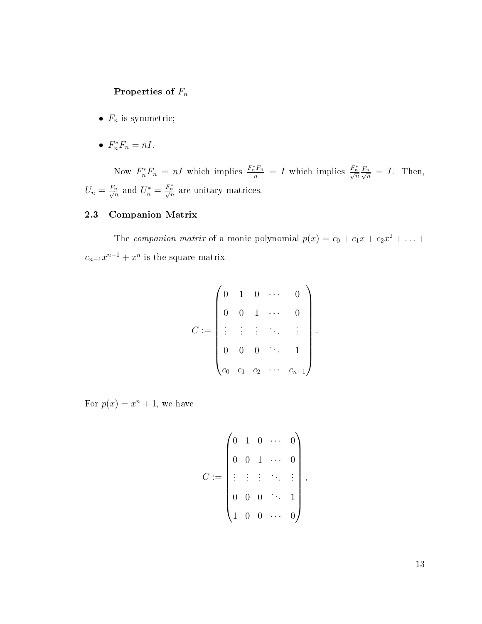# Properties of  $F_n$

- $F_n$  is symmetric;
- $F_n^* F_n = nI$ .

Now  $F_n^*F_n = nI$  which implies  $\frac{F_n^*F_n}{n} = I$  which implies  $\frac{F_n^*}{\sqrt{n}} \frac{F_n}{\sqrt{n}} = I$ . Then,  $U_n = \frac{F_n}{\sqrt{n}}$  $\frac{h_n}{n}$  and  $U_n^* = \frac{F_n^*}{\sqrt{n}}$  are unitary matrices.

# <span id="page-19-0"></span>2.3 Companion Matrix

The companion matrix of a monic polynomial  $p(x) = c_0 + c_1x + c_2x^2 + ... +$  $c_{n-1}x^{n-1}+x^n$  is the square matrix

$$
C := \begin{pmatrix} 0 & 1 & 0 & \cdots & 0 \\ 0 & 0 & 1 & \cdots & 0 \\ \vdots & \vdots & \vdots & \ddots & \vdots \\ 0 & 0 & 0 & \ddots & 1 \\ c_0 & c_1 & c_2 & \cdots & c_{n-1} \end{pmatrix}.
$$

For  $p(x) = x^n + 1$ , we have

$$
C := \begin{pmatrix} 0 & 1 & 0 & \cdots & 0 \\ 0 & 0 & 1 & \cdots & 0 \\ \vdots & \vdots & \vdots & \ddots & \vdots \\ 0 & 0 & 0 & \cdots & 1 \\ 1 & 0 & 0 & \cdots & 0 \end{pmatrix},
$$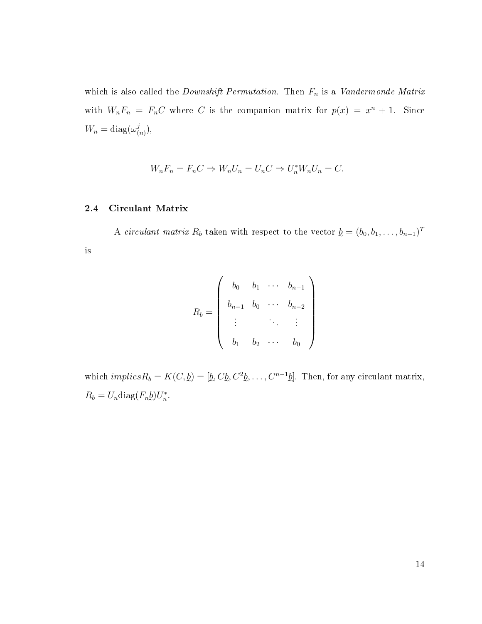which is also called the *Downshift Permutation*. Then  $F_n$  is a *Vandermonde Matrix* with  $W_nF_n = F_nC$  where C is the companion matrix for  $p(x) = x^n + 1$ . Since  $W_n = \text{diag}(\omega_0^j)$  $\binom{j}{(n)},$ 

$$
W_n F_n = F_n C \Rightarrow W_n U_n = U_n C \Rightarrow U_n^* W_n U_n = C.
$$

#### <span id="page-20-0"></span>2.4 Circulant Matrix

A circulant matrix  $R_b$  taken with respect to the vector  $\underline{b} = (b_0, b_1, \ldots, b_{n-1})^T$ is

$$
R_b = \begin{pmatrix} b_0 & b_1 & \cdots & b_{n-1} \\ b_{n-1} & b_0 & \cdots & b_{n-2} \\ \vdots & & & \vdots \\ b_1 & b_2 & \cdots & b_0 \end{pmatrix}
$$

which *implies* $R_b = K(C, \underline{b}) = [\underline{b}, C \underline{b}, C^2 \underline{b}, \dots, C^{n-1} \underline{b}]$ . Then, for any circulant matrix,  $R_b = U_n \text{diag}(F_n \underline{b}) U_n^*$ .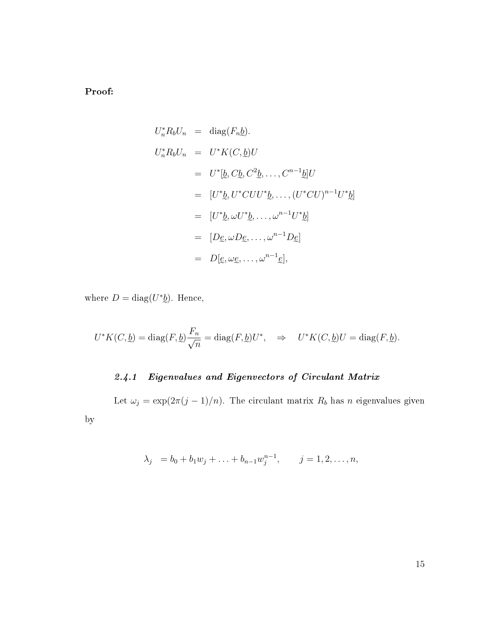Proof:

by

$$
U_n^* R_b U_n = \text{diag}(F_n \underline{b}).
$$
  
\n
$$
U_n^* R_b U_n = U^* K(C, \underline{b}) U
$$
  
\n
$$
= U^* [\underline{b}, C \underline{b}, C^2 \underline{b}, \dots, C^{n-1} \underline{b}] U
$$
  
\n
$$
= [U^* \underline{b}, U^* C U U^* \underline{b}, \dots, (U^* C U)^{n-1} U^* \underline{b}]
$$
  
\n
$$
= [U^* \underline{b}, \omega U^* \underline{b}, \dots, \omega^{n-1} U^* \underline{b}]
$$
  
\n
$$
= [D \underline{e}, \omega D \underline{e}, \dots, \omega^{n-1} D \underline{e}]
$$
  
\n
$$
= D [\underline{e}, \omega \underline{e}, \dots, \omega^{n-1} \underline{e}],
$$

where  $D = \text{diag}(U^*\underline{b})$ . Hence,

$$
U^*K(C, \underline{b}) = \text{diag}(F, \underline{b}) \frac{F_n}{\sqrt{n}} = \text{diag}(F, \underline{b})U^*, \quad \Rightarrow \quad U^*K(C, \underline{b})U = \text{diag}(F, \underline{b}).
$$

# 2.4.1 Eigenvalues and Eigenvectors of Circulant Matrix

Let  $\omega_j = \exp(2\pi(j-1)/n)$ . The circulant matrix  $R_b$  has n eigenvalues given

$$
\lambda_j = b_0 + b_1 w_j + \ldots + b_{n-1} w_j^{n-1}, \qquad j = 1, 2, \ldots, n,
$$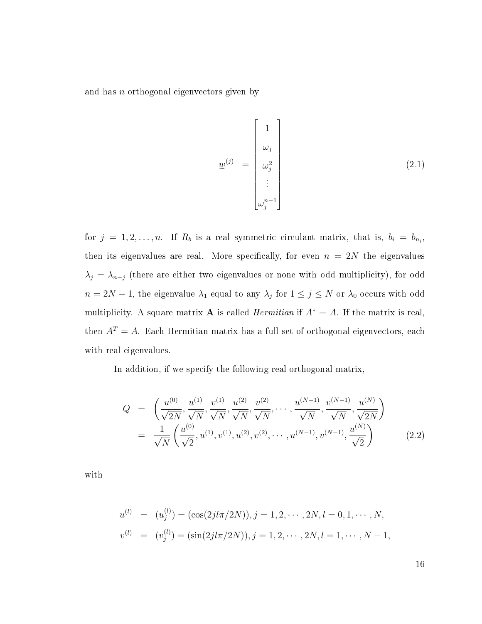and has n orthogonal eigenvectors given by

$$
w^{(j)} = \begin{bmatrix} 1 \\ \omega_j \\ \omega_j^2 \\ \vdots \\ \omega_j^{n-1} \end{bmatrix}
$$
 (2.1)

for  $j = 1, 2, ..., n$ . If  $R_b$  is a real symmetric circulant matrix, that is,  $b_i = b_{n_i}$ , then its eigenvalues are real. More specifically, for even  $n = 2N$  the eigenvalues  $\lambda_j = \lambda_{n-j}$  (there are either two eigenvalues or none with odd multiplicity), for odd  $n = 2N - 1$ , the eigenvalue  $\lambda_1$  equal to any  $\lambda_j$  for  $1 \le j \le N$  or  $\lambda_0$  occurs with odd multiplicity. A square matrix **A** is called *Hermitian* if  $A^* = A$ . If the matrix is real, then  $A<sup>T</sup> = A$ . Each Hermitian matrix has a full set of orthogonal eigenvectors, each with real eigenvalues.

In addition, if we specify the following real orthogonal matrix,

$$
Q = \left(\frac{u^{(0)}}{\sqrt{2N}}, \frac{u^{(1)}}{\sqrt{N}}, \frac{v^{(1)}}{\sqrt{N}}, \frac{u^{(2)}}{\sqrt{N}}, \frac{v^{(2)}}{\sqrt{N}}, \dots, \frac{u^{(N-1)}}{\sqrt{N}}, \frac{v^{(N-1)}}{\sqrt{N}}, \frac{u^{(N)}}{\sqrt{2N}}\right)
$$
  

$$
= \frac{1}{\sqrt{N}} \left(\frac{u^{(0)}}{\sqrt{2}}, u^{(1)}, v^{(1)}, u^{(2)}, v^{(2)}, \dots, u^{(N-1)}, v^{(N-1)}, \frac{u^{(N)}}{\sqrt{2}}\right)
$$
(2.2)

with

$$
u^{(l)} = (u_j^{(l)}) = (\cos(2jl\pi/2N)), j = 1, 2, \cdots, 2N, l = 0, 1, \cdots, N,
$$
  

$$
v^{(l)} = (v_j^{(l)}) = (\sin(2jl\pi/2N)), j = 1, 2, \cdots, 2N, l = 1, \cdots, N - 1,
$$

16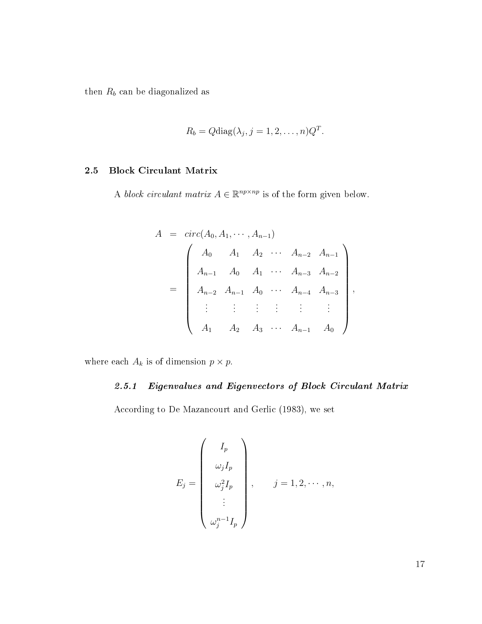then  $R_b$  can be diagonalized as

$$
R_b = Q \text{diag}(\lambda_j, j = 1, 2, \dots, n) Q^T.
$$

## <span id="page-23-0"></span>2.5 Block Circulant Matrix

A block circulant matrix  $A \in \mathbb{R}^{np \times np}$  is of the form given below.

$$
A = circ(A_0, A_1, \cdots, A_{n-1})
$$
\n
$$
= \begin{pmatrix}\nA_0 & A_1 & A_2 & \cdots & A_{n-2} & A_{n-1} \\
A_{n-1} & A_0 & A_1 & \cdots & A_{n-3} & A_{n-2} \\
A_{n-2} & A_{n-1} & A_0 & \cdots & A_{n-4} & A_{n-3} \\
\vdots & \vdots & \vdots & \vdots & \vdots \\
A_1 & A_2 & A_3 & \cdots & A_{n-1} & A_0\n\end{pmatrix},
$$

where each  $A_k$  is of dimension  $p \times p$ .

# 2.5.1 Eigenvalues and Eigenvectors of Block Circulant Matrix

According to De Mazancourt and Gerlic (1983), we set

$$
E_j = \begin{pmatrix} I_p \\ \omega_j I_p \\ \omega_j^2 I_p \\ \vdots \\ \omega_j^{n-1} I_p \end{pmatrix}, \quad j = 1, 2, \cdots, n,
$$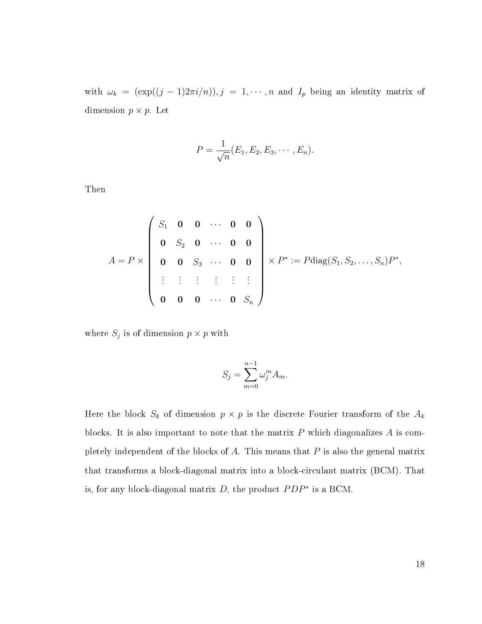with  $\omega_k = (\exp((j-1)2\pi i/n)), j = 1, \cdots, n$  and  $I_p$  being an identity matrix of dimension  $p \times p$ . Let

$$
P = \frac{1}{\sqrt{n}}(E_1, E_2, E_3, \cdots, E_n).
$$

Then

$$
A = P \times \begin{pmatrix} S_1 & \mathbf{0} & \mathbf{0} & \cdots & \mathbf{0} & \mathbf{0} \\ \mathbf{0} & S_2 & \mathbf{0} & \cdots & \mathbf{0} & \mathbf{0} \\ \mathbf{0} & \mathbf{0} & S_3 & \cdots & \mathbf{0} & \mathbf{0} \\ \vdots & \vdots & \vdots & \vdots & \vdots \\ \mathbf{0} & \mathbf{0} & \mathbf{0} & \cdots & \mathbf{0} & S_n \end{pmatrix} \times P^* := P \text{diag}(S_1, S_2, \ldots, S_n) P^*,
$$

where  $S_j$  is of dimension  $p \times p$  with

$$
S_j = \sum_{m=0}^{n-1} \omega_j^m A_m.
$$

Here the block  $S_k$  of dimension  $p \times p$  is the discrete Fourier transform of the  $A_k$ blocks. It is also important to note that the matrix  $P$  which diagonalizes  $A$  is completely independent of the blocks of  $A$ . This means that  $P$  is also the general matrix that transforms a block-diagonal matrix into a block-circulant matrix (BCM). That is, for any block-diagonal matrix  $D$ , the product  $PDP^*$  is a BCM.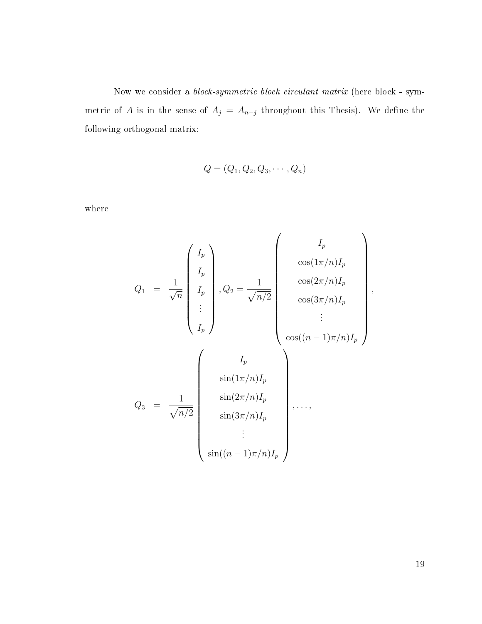Now we consider a block-symmetric block circulant matrix (here block - symmetric of A is in the sense of  $A_j = A_{n-j}$  throughout this Thesis). We define the following orthogonal matrix:

$$
Q=(Q_1,Q_2,Q_3,\cdots,Q_n)
$$

where

$$
Q_1 = \frac{1}{\sqrt{n}} \begin{pmatrix} I_p \\ I_p \\ I_p \\ \vdots \\ I_p \end{pmatrix}, Q_2 = \frac{1}{\sqrt{n/2}} \begin{pmatrix} I_p \\ \cos(1\pi/n)I_p \\ \cos(3\pi/n)I_p \\ \vdots \\ \cos((n-1)\pi/n)I_p \end{pmatrix},
$$
  

$$
Q_3 = \frac{1}{\sqrt{n/2}} \begin{pmatrix} I_p \\ \sin(1\pi/n)I_p \\ \sin(3\pi/n)I_p \\ \vdots \\ \sin(3\pi/n)I_p \\ \vdots \\ \sin((n-1)\pi/n)I_p \end{pmatrix}, \dots,
$$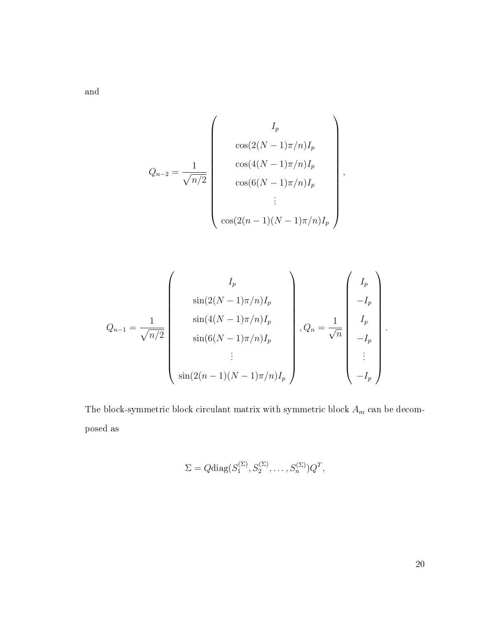and

$$
Q_{n-2} = \frac{1}{\sqrt{n/2}} \begin{pmatrix} I_p \\ \cos(2(N-1)\pi/n)I_p \\ \cos(4(N-1)\pi/n)I_p \\ \cos(6(N-1)\pi/n)I_p \\ \vdots \\ \cos(2(n-1)(N-1)\pi/n)I_p \end{pmatrix},
$$

$$
Q_{n-1} = \frac{1}{\sqrt{n/2}} \begin{pmatrix} I_p \\ \sin(2(N-1)\pi/n)I_p \\ \sin(4(N-1)\pi/n)I_p \\ \sin(6(N-1)\pi/n)I_p \\ \vdots \\ \sin(2(n-1)(N-1)\pi/n)I_p \end{pmatrix}, Q_n = \frac{1}{\sqrt{n}} \begin{pmatrix} I_p \\ -I_p \\ -I_p \\ \vdots \\ -I_p \end{pmatrix}.
$$

The block-symmetric block circulant matrix with symmetric block  ${\cal A}_m$  can be decomposed as

$$
\Sigma = Q \text{diag}(S_1^{(\Sigma)}, S_2^{(\Sigma)}, \dots, S_n^{(\Sigma)}) Q^T,
$$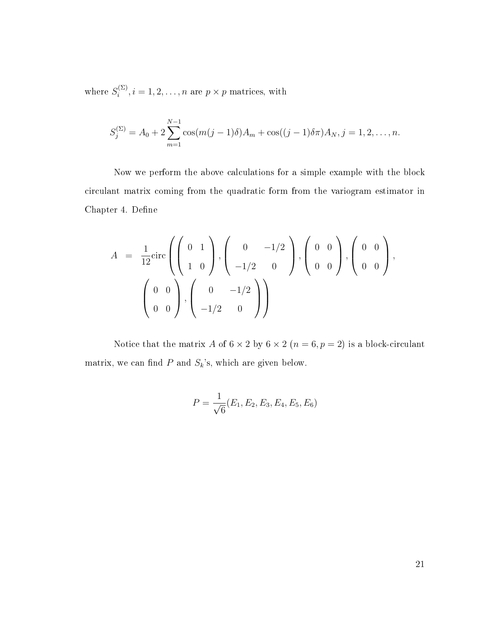where  $S_i^{(\Sigma)}$  $i^{(\Sigma)}, i = 1, 2, \ldots, n$  are  $p \times p$  matrices, with

$$
S_j^{(\Sigma)} = A_0 + 2 \sum_{m=1}^{N-1} \cos(m(j-1)\delta)A_m + \cos((j-1)\delta\pi)A_N, j = 1, 2, ..., n.
$$

Now we perform the above calculations for a simple example with the block circulant matrix coming from the quadratic form from the variogram estimator in Chapter 4. Define

$$
A = \frac{1}{12} \text{circ} \left( \left( \begin{array}{cc} 0 & 1 \\ 1 & 0 \end{array} \right), \left( \begin{array}{cc} 0 & -1/2 \\ -1/2 & 0 \end{array} \right), \left( \begin{array}{cc} 0 & 0 \\ 0 & 0 \end{array} \right), \left( \begin{array}{cc} 0 & 0 \\ 0 & 0 \end{array} \right), \\ \left( \begin{array}{cc} 0 & 0 \\ 0 & 0 \end{array} \right), \left( \begin{array}{cc} 0 & -1/2 \\ -1/2 & 0 \end{array} \right) \right)
$$

Notice that the matrix A of  $6 \times 2$  by  $6 \times 2$   $(n = 6, p = 2)$  is a block-circulant matrix, we can find  $P$  and  $S_k$ 's, which are given below.

$$
P = \frac{1}{\sqrt{6}} (E_1, E_2, E_3, E_4, E_5, E_6)
$$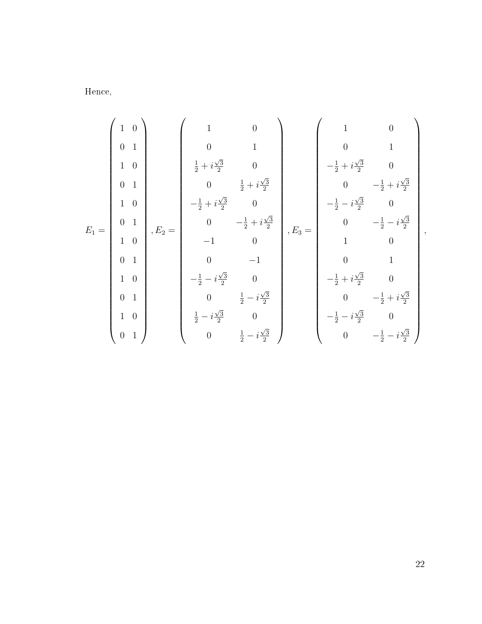Hence,

$$
E_1=\left(\begin{array}{cccc} 1 & 0 \\ 0 & 1 \\ 1 & 0 \\ 0 & 1 \\ 1 & 0 \\ 1 & 0 \\ 1 & 0 \\ 0 & 1 \\ 1 & 0 \\ 0 & 1 \\ 1 & 0 \\ 0 & 1 \\ 1 & 0 \\ 0 & 1 \\ 0 & 1 \\ 0 & 1 \\ 0 & 1 \\ 0 & 1 \\ 0 & 1 \\ 0 & 1 \\ 0 & 1 \\ 0 & 1 \\ 0 & 1 \\ 0 & 1 \\ 0 & 1 \\ 0 & 1 \\ 0 & 1 \\ 0 & 1 \\ 0 & 1 \\ 0 & 1 \\ 0 & 1 \\ 0 & 1 \\ 0 & 1 \\ 0 & 1 \\ 0 & 1 \\ 0 & 1 \\ 0 & 1 \\ 0 & 1 \\ 0 & 1 \\ 0 & 1 \\ 0 & 1 \\ 0 & 1 \\ 0 & 1 \\ 0 & 1 \\ 0 & 1 \\ 0 & 1 \\ 0 & 1 \\ 0 & 1 \\ 0 & 1 \\ 0 & 1 \\ 0 & 1 \\ 0 & 1 \\ 0 & 1 \\ 0 & 1 \\ 0 & 1 \\ 0 & 1 \\ 0 & 1 \\ 0 & 1 \\ 0 & 1 \\ 0 & 1 \\ 0 & 1 \\ 0 & 1 \\ 0 & 1 \\ 0 & 1 \\ 0 & 1 \\ 0 & 1 \\ 0 & 1 \\ 0 & 1 \\ 0 & 1 \\ 0 & 1 \\ 0 & 1 \\ 0 & 1 \\ 0 & 1 \\ 0 & 1 \\ 0 & 1 \\ 0 & 1 \\ 0 & 1 \\ 0 & 1 \\ 0 & 1 \\ 0 & 1 \\ 0 & 1 \\ 0 & 1 \\ 0 & 1 \\ 0 & 1 \\ 0 & 1 \\ 0 & 1 \\ 0 & 1 \\ 0 & 1 \\ 0 & 1 \\ 0 & 1 \\ 0 & 1 \\ 0 & 1 \\ 0 & 1 \\ 0 & 1 \\ 0 & 1 \\ 0 & 1 \\ 0 & 1 \\ 0 & 1 \\ 0 & 1 \\ 0 & 1 \\ 0 & 1 \\ 0 & 1 \\ 0 & 1 \\ 0 & 1 \\ 0 & 1 \\ 0 & 1 \\ 0 & 1 \\ 0 & 1 \\ 0 & 1 \\ 0 & 1 \\ 0 & 1 \\ 0 & 1 \\ 0 & 1 \\ 0 & 1 \\ 0 & 1 \\ 0 & 1 \\ 0 & 1 \\ 0 & 1 \\ 0 & 1 \\ 0 & 1 \\ 0 & 1 \\ 0 & 1 \\ 0 & 1 \\ 0 & 1 \\ 0 &
$$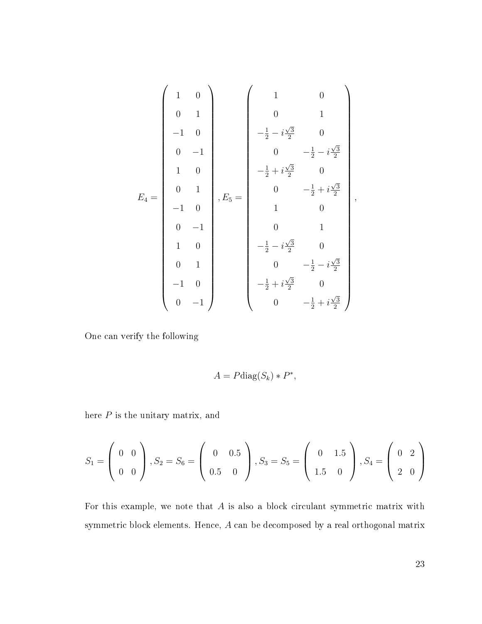$$
E_4 = \begin{pmatrix} 1 & 0 \\ 0 & 1 \\ -1 & 0 \\ 0 & -1 \\ 1 & 0 \\ -1 & 0 \\ 0 & -1 \\ 0 & -1 \\ 0 & 1 \\ 0 & -1 \\ 0 & 1 \\ 0 & 1 \\ 0 & 1 \\ 0 & 1 \\ 0 & 1 \\ 0 & 1 \\ 0 & -1 \\ 0 & -1 \\ 0 & -1 \\ 0 & -1 \\ 0 & -\frac{1}{2} + i\frac{\sqrt{3}}{2} \\ -\frac{1}{2} - i\frac{\sqrt{3}}{2} & 0 \\ 0 & 1 \\ 0 & -\frac{1}{2} - i\frac{\sqrt{3}}{2} \\ -\frac{1}{2} + i\frac{\sqrt{3}}{2} & 0 \\ 0 & -1 \\ 0 & -\frac{1}{2} + i\frac{\sqrt{3}}{2} \\ 0 & -1 \\ 0 & -\frac{1}{2} + i\frac{\sqrt{3}}{2} \end{pmatrix}
$$

One can verify the following

$$
A = P \text{diag}(S_k) * P^*,
$$

here  $P$  is the unitary matrix, and

$$
S_1 = \begin{pmatrix} 0 & 0 \\ 0 & 0 \end{pmatrix}, S_2 = S_6 = \begin{pmatrix} 0 & 0.5 \\ 0.5 & 0 \end{pmatrix}, S_3 = S_5 = \begin{pmatrix} 0 & 1.5 \\ 1.5 & 0 \end{pmatrix}, S_4 = \begin{pmatrix} 0 & 2 \\ 2 & 0 \end{pmatrix}
$$

For this example, we note that  $A$  is also a block circulant symmetric matrix with symmetric block elements. Hence, A can be decomposed by a real orthogonal matrix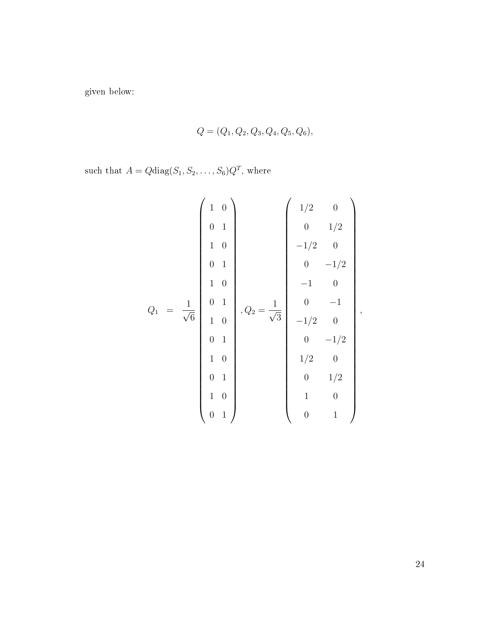given below:

$$
Q = (Q_1, Q_2, Q_3, Q_4, Q_5, Q_6),
$$

such that  $A = Q \text{diag}(S_1, S_2, \dots, S_6) Q^T$ , where

$$
Q_{1} = \frac{1}{\sqrt{6}} \begin{pmatrix} 1 & 0 \\ 0 & 1 \\ 1 & 0 \\ 0 & 1 \\ 1 & 0 \\ 0 & 1 \\ 1 & 0 \\ 0 & 1 \\ 0 & 1 \\ 1 & 0 \\ 0 & 1 \\ 0 & 1 \\ 0 & 1 \\ 0 & 0 \\ 0 & 1 \\ 0 & 0 \\ 0 & 1 \\ 0 & 0 \\ 0 & 1 \end{pmatrix}, Q_{2} = \frac{1}{\sqrt{3}} \begin{pmatrix} 1/2 & 0 \\ 0 & 1/2 \\ -1/2 & 0 \\ 0 & -1/2 \\ -1/2 & 0 \\ 0 & -1/2 \\ 1/2 & 0 \\ 0 & 1/2 \\ 0 & 1 \end{pmatrix},
$$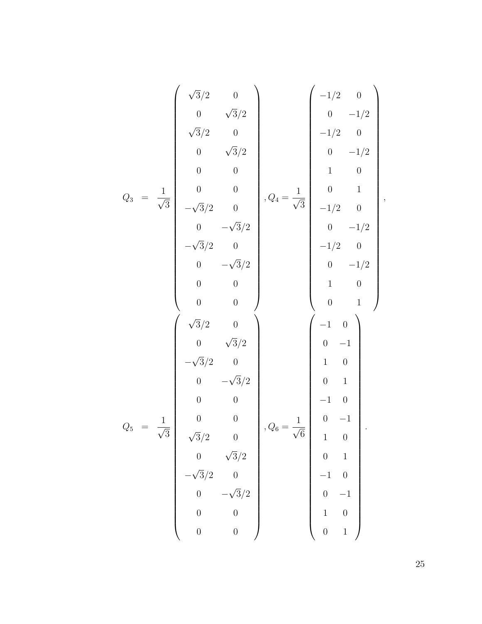$$
Q_3 = \frac{1}{\sqrt{3}} \begin{pmatrix} \sqrt{3}/2 & 0 \\ 0 & \sqrt{3}/2 \\ \sqrt{3}/2 & 0 \\ 0 & 0 \\ 0 & 0 \\ 0 & 0 \\ -\sqrt{3}/2 & 0 \\ 0 & -\sqrt{3}/2 \\ -\sqrt{3}/2 & 0 \\ 0 & 0 \\ 0 & 0 \\ 0 & 0 \\ 0 & 0 \\ 0 & 0 \\ 0 & 0 \\ 0 & 0 \\ 0 & 0 \\ 0 & 0 \\ 0 & 0 \\ 0 & -\sqrt{3}/2 \\ -\sqrt{3}/2 & 0 \\ 0 & 0 \\ 0 & 0 \\ 0 & 0 \\ 0 & 0 \\ 0 & 0 \\ 0 & 0 \\ 0 & 0 \\ 0 & 0 \\ 0 & 0 \\ 0 & 0 \\ 0 & 0 \\ 0 & 0 \\ 0 & 0 \\ 0 & 0 \\ 0 & 0 \\ 0 & 0 \\ 0 & 0 \\ 0 & 0 \\ 0 & 0 \\ 0 & 0 \\ 0 & 0 \\ 0 & 0 \\ 0 & 0 \\ 0 & 0 \\ 0 & 0 \\ 0 & 0 \\ 0 & 0 \\ 0 & 0 \\ 0 & 0 \\ 0 & 0 \\ 0 & 0 \\ 0 & 0 \\ 0 & 0 \\ 0 & 0 \\ 0 & 0 \\ 0 & 0 \\ 0 & 0 \\ 0 & 0 \\ 0 & 0 \\ 0 & 0 \\ 0 & 1 \\ 0 & 0 \\ 0 & 1 \\ 0 & 0 \\ 0 & 1 \\ 0 & 0 \\ 0 & 1 \\ 0 & 0 \\ 0 & 1 \\ 0 & 0 \\ 0 & 1 \\ 0 & 0 \\ 0 & 1 \\ 0 & 0 \\ 0 & 1 \\ 0 & 0 \\ 0 & 1 \\ 0 & 0 \\ 0 & 1 \\ 0 & 0 \\ 0 & 1 \\ 0 & 0 \\ 0 & 1 \\ 0 & 0 \\ 0 & 1 \\ 0 & 0 \\ 0 & 1 \\ 0 & 0 \\ 0 & 1 \\ 0 & 0 \\ 0 & 1 \\ 0 & 0 \\ 0 & 1 \\ 0 & 1 \\ 0 & 0 \\ 0 & 1 \\ 0 & 1 \\ 0 & 1 \\ 0 & 1 \\ 0 & 1 \\ 0 & 1 \\ 0 & 1 \\ 0 & 1 \\ 0 & 1 \\ 0 & 1 \\ 0 & 1 \\ 0 & 1 \\ 0 & 1 \\ 0 & 1 \\ 0 & 1 \\ 0 & 1 \\ 0 & 1 \\ 0 & 1 \\ 0 & 1 \\ 0 & 1 \\ 0 & 1 \\
$$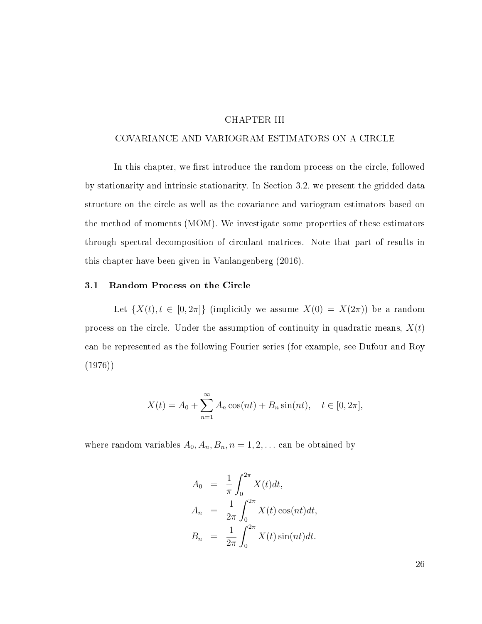### CHAPTER III

#### <span id="page-32-0"></span>COVARIANCE AND VARIOGRAM ESTIMATORS ON A CIRCLE

In this chapter, we first introduce the random process on the circle, followed by stationarity and intrinsic stationarity. In Section 3.2, we present the gridded data structure on the circle as well as the covariance and variogram estimators based on the method of moments (MOM). We investigate some properties of these estimators through spectral decomposition of circulant matrices. Note that part of results in this chapter have been given in Vanlangenberg (2016).

### <span id="page-32-1"></span>3.1 Random Process on the Circle

Let  $\{X(t), t \in [0, 2\pi]\}\$  (implicitly we assume  $X(0) = X(2\pi)$ ) be a random process on the circle. Under the assumption of continuity in quadratic means,  $X(t)$ can be represented as the following Fourier series (for example, see Dufour and Roy (1976))

$$
X(t) = A_0 + \sum_{n=1}^{\infty} A_n \cos(nt) + B_n \sin(nt), \quad t \in [0, 2\pi],
$$

where random variables  $A_0$ ,  $A_n$ ,  $B_n$ ,  $n = 1, 2, \ldots$  can be obtained by

$$
A_0 = \frac{1}{\pi} \int_0^{2\pi} X(t) dt,
$$
  
\n
$$
A_n = \frac{1}{2\pi} \int_0^{2\pi} X(t) \cos(nt) dt,
$$
  
\n
$$
B_n = \frac{1}{2\pi} \int_0^{2\pi} X(t) \sin(nt) dt.
$$

26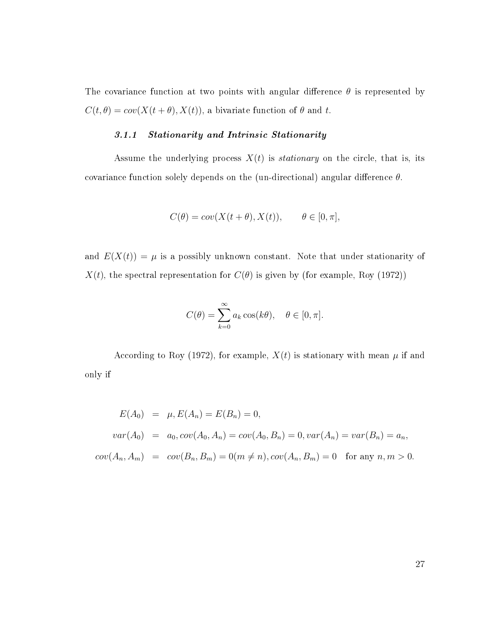The covariance function at two points with angular difference  $\theta$  is represented by  $C(t, \theta) = cov(X(t + \theta), X(t))$ , a bivariate function of  $\theta$  and t.

# 3.1.1 Stationarity and Intrinsic Stationarity

Assume the underlying process  $X(t)$  is *stationary* on the circle, that is, its covariance function solely depends on the (un-directional) angular difference  $\theta$ .

$$
C(\theta) = cov(X(t + \theta), X(t)), \qquad \theta \in [0, \pi],
$$

and  $E(X(t)) = \mu$  is a possibly unknown constant. Note that under stationarity of  $X(t)$ , the spectral representation for  $C(\theta)$  is given by (for example, Roy (1972))

$$
C(\theta) = \sum_{k=0}^{\infty} a_k \cos(k\theta), \quad \theta \in [0, \pi].
$$

According to Roy (1972), for example,  $X(t)$  is stationary with mean  $\mu$  if and only if

$$
E(A_0) = \mu, E(A_n) = E(B_n) = 0,
$$
  
\n
$$
var(A_0) = a_0, cov(A_0, A_n) = cov(A_0, B_n) = 0, var(A_n) = var(B_n) = a_n,
$$
  
\n
$$
cov(A_n, A_m) = cov(B_n, B_m) = 0 (m \neq n), cov(A_n, B_m) = 0 \text{ for any } n, m > 0.
$$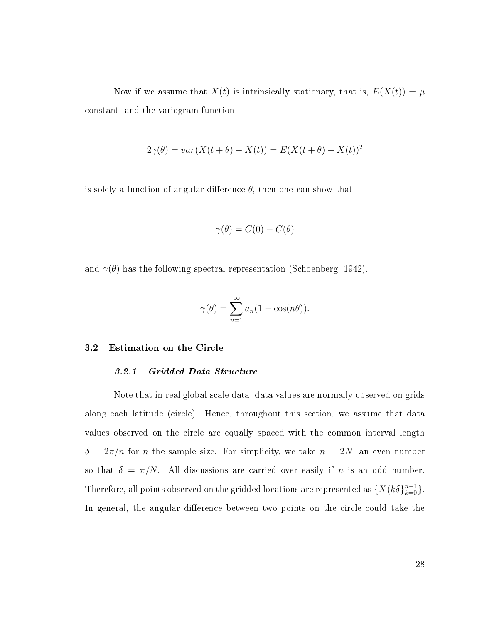Now if we assume that  $X(t)$  is intrinsically stationary, that is,  $E(X(t)) = \mu$ constant, and the variogram function

$$
2\gamma(\theta) = var(X(t + \theta) - X(t)) = E(X(t + \theta) - X(t))^2
$$

is solely a function of angular difference  $\theta$ , then one can show that

$$
\gamma(\theta) = C(0) - C(\theta)
$$

and  $\gamma(\theta)$  has the following spectral representation (Schoenberg, 1942).

$$
\gamma(\theta) = \sum_{n=1}^{\infty} a_n (1 - \cos(n\theta)).
$$

#### <span id="page-34-0"></span>3.2 Estimation on the Circle

#### 3.2.1 Gridded Data Structure

Note that in real global-scale data, data values are normally observed on grids along each latitude (circle). Hence, throughout this section, we assume that data values observed on the circle are equally spaced with the common interval length  $\delta = 2\pi/n$  for *n* the sample size. For simplicity, we take  $n = 2N$ , an even number so that  $\delta = \pi/N$ . All discussions are carried over easily if n is an odd number. Therefore, all points observed on the gridded locations are represented as  $\{X(k\delta\}_{k=0}^{n-1}\}$ . In general, the angular difference between two points on the circle could take the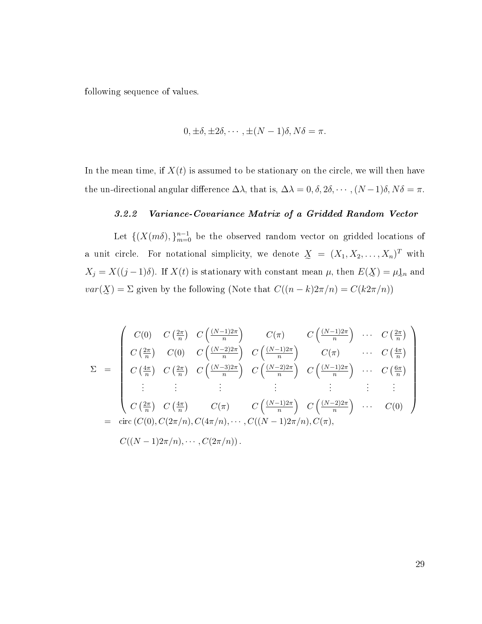following sequence of values.

$$
0, \pm \delta, \pm 2\delta, \cdots, \pm (N-1)\delta, N\delta = \pi.
$$

In the mean time, if  $X(t)$  is assumed to be stationary on the circle, we will then have the un-directional angular difference  $\Delta\lambda$ , that is,  $\Delta\lambda = 0, \delta, 2\delta, \cdots, (N-1)\delta, N\delta = \pi$ .

## 3.2.2 Variance-Covariance Matrix of a Gridded Random Vector

Let  $\{ (X(m\delta), \}_{m=0}^{n-1}$  be the observed random vector on gridded locations of a unit circle. For notational simplicity, we denote  $\mathbf{X} = (X_1, X_2, \ldots, X_n)^T$  with  $X_j = X((j-1)\delta)$ . If  $X(t)$  is stationary with constant mean  $\mu$ , then  $E(\underline{X}) = \mu \underline{1}_n$  and  $var(\cancel{X}) = \Sigma$  given by the following (Note that  $C((n-k)2\pi/n) = C(k2\pi/n)$ )

$$
\Sigma = \begin{pmatrix}\nC(0) & C\left(\frac{2\pi}{n}\right) & C\left(\frac{(N-1)2\pi}{n}\right) & C(\pi) & C\left(\frac{(N-1)2\pi}{n}\right) & \cdots & C\left(\frac{2\pi}{n}\right) \\
C\left(\frac{2\pi}{n}\right) & C(0) & C\left(\frac{(N-2)2\pi}{n}\right) & C\left(\frac{(N-1)2\pi}{n}\right) & C(\pi) & \cdots & C\left(\frac{4\pi}{n}\right) \\
C\left(\frac{4\pi}{n}\right) & C\left(\frac{2\pi}{n}\right) & C\left(\frac{(N-3)2\pi}{n}\right) & C\left(\frac{(N-2)2\pi}{n}\right) & C\left(\frac{(N-1)2\pi}{n}\right) & \cdots & C\left(\frac{6\pi}{n}\right) \\
\vdots & \vdots & \vdots & \vdots & \vdots \\
C\left(\frac{2\pi}{n}\right) & C\left(\frac{4\pi}{n}\right) & C(\pi) & C\left(\frac{(N-1)2\pi}{n}\right) & C\left(\frac{(N-2)2\pi}{n}\right) & \cdots & C(0) \\
\vdots & \vdots & \vdots & \vdots & \vdots \\
C((N-1)2\pi/n), C(2\pi/n), C(4\pi/n), \cdots, C((N-1)2\pi/n), C(\pi), & C((N-1)2\pi/n)\n\end{pmatrix}
$$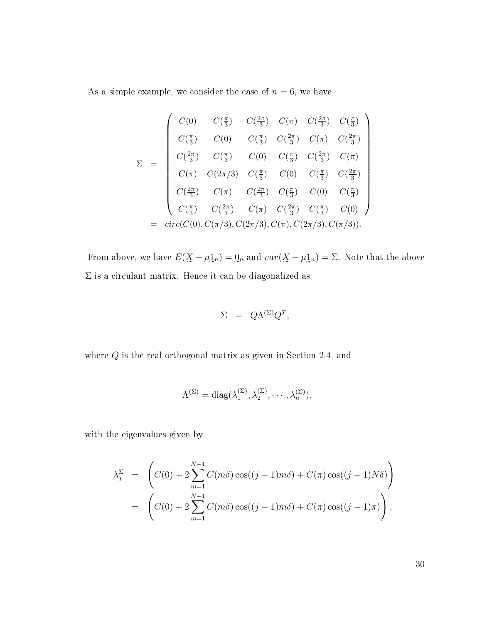As a simple example, we consider the case of  $n = 6$ , we have

$$
\Sigma = \begin{pmatrix}\nC(0) & C(\frac{\pi}{3}) & C(\frac{2\pi}{3}) & C(\pi) & C(\frac{2\pi}{3}) & C(\frac{\pi}{3}) \\
C(\frac{\pi}{3}) & C(0) & C(\frac{\pi}{3}) & C(\frac{2\pi}{3}) & C(\pi) & C(\frac{2\pi}{3}) \\
C(\frac{2\pi}{3}) & C(\frac{\pi}{3}) & C(0) & C(\frac{\pi}{3}) & C(\frac{2\pi}{3}) & C(\pi) \\
C(\pi) & C(2\pi/3) & C(\frac{\pi}{3}) & C(0) & C(\frac{\pi}{3}) & C(\frac{2\pi}{3}) \\
C(\frac{2\pi}{3}) & C(\pi) & C(\frac{2\pi}{3}) & C(\frac{\pi}{3}) & C(0) & C(\frac{\pi}{3}) \\
C(\frac{\pi}{3}) & C(\frac{2\pi}{3}) & C(\pi) & C(\frac{2\pi}{3}) & C(\frac{\pi}{3}) & C(0) \\
= & circ(C(0), C(\pi/3), C(2\pi/3), C(\pi), C(2\pi/3), C(\pi/3)).\n\end{pmatrix}
$$

From above, we have  $E(\underline{X}-\mu \underline{1}_n)=\underline{0}_n$  and  $var(\underline{X}-\mu \underline{1}_n)=\Sigma$ . Note that the above  $\Sigma$  is a circulant matrix. Hence it can be diagonalized as

$$
\Sigma = Q\Lambda^{(\Sigma)}Q^T,
$$

where  $Q$  is the real orthogonal matrix as given in Section 2.4, and

$$
\Lambda^{(\Sigma)} = \mathrm{diag}(\lambda^{(\Sigma)}_1, \lambda^{(\Sigma)}_2, \cdots, \lambda^{(\Sigma)}_n),
$$

with the eigenvalues given by

$$
\lambda_j^{\Sigma} = \left( C(0) + 2 \sum_{m=1}^{N-1} C(m\delta) \cos((j-1)m\delta) + C(\pi) \cos((j-1)N\delta) \right)
$$
  
= 
$$
\left( C(0) + 2 \sum_{m=1}^{N-1} C(m\delta) \cos((j-1)m\delta) + C(\pi) \cos((j-1)\pi) \right).
$$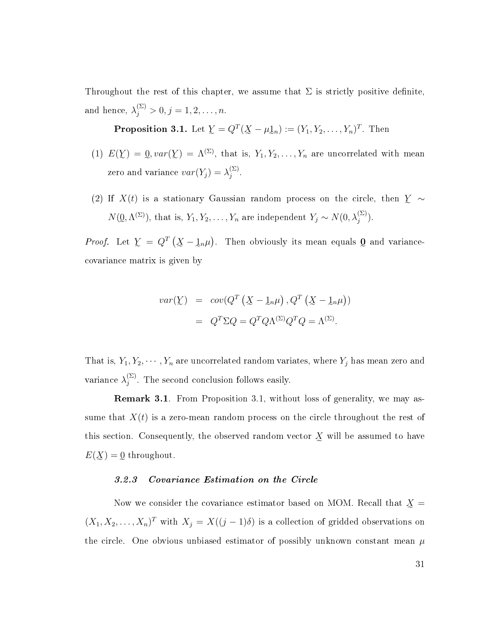Throughout the rest of this chapter, we assume that  $\Sigma$  is strictly positive definite, and hence,  $\lambda_j^{(\Sigma)} > 0, j = 1, 2, \ldots, n$ .

**Proposition 3.1.** Let  $\underline{Y} = Q^T(\underline{X} - \mu \underline{1}_n) := (Y_1, Y_2, \ldots, Y_n)^T$ . Then

- (1)  $E(Y) = 0$ ,  $var(Y) = \Lambda^{(\Sigma)}$ , that is,  $Y_1, Y_2, \ldots, Y_n$  are uncorrelated with mean zero and variance  $var(Y_j) = \lambda_j^{(\Sigma)}$  $\frac{(2)}{j}$  .
- (2) If  $X(t)$  is a stationary Gaussian random process on the circle, then  $\sum_{n=1}^{\infty}$  $N(\mathcal{Q}, \Lambda^{(\Sigma)})$ , that is,  $Y_1, Y_2, \ldots, Y_n$  are independent  $Y_j \sim N(0, \lambda_j^{(\Sigma)})$ .

*Proof.* Let  $\mathcal{Y} = Q^T(\mathcal{X} - \mathcal{Y}|\mathcal{Y})$ . Then obviously its mean equals Q and variancee e e covariance matrix is given by

$$
var(\underline{Y}) = cov(Q^T (\underline{X} - \underline{1}_n \mu), Q^T (\underline{X} - \underline{1}_n \mu))
$$

$$
= Q^T \Sigma Q = Q^T Q \Lambda^{(\Sigma)} Q^T Q = \Lambda^{(\Sigma)}.
$$

That is,  $Y_1, Y_2, \dots, Y_n$  are uncorrelated random variates, where  $Y_j$  has mean zero and variance  $\lambda_i^{(\Sigma)}$  $j^{(2)}$ . The second conclusion follows easily.

Remark 3.1. From Proposition 3.1, without loss of generality, we may assume that  $X(t)$  is a zero-mean random process on the circle throughout the rest of this section. Consequently, the observed random vector  $\chi$  will be assumed to have  $E(\underline{X}) = 0$  throughout.

#### 3.2.3 Covariance Estimation on the Circle

Now we consider the covariance estimator based on MOM. Recall that  $\mathfrak{X}=$  $(X_1, X_2, \ldots, X_n)^T$  with  $X_j = X((j-1)\delta)$  is a collection of gridded observations on the circle. One obvious unbiased estimator of possibly unknown constant mean  $\mu$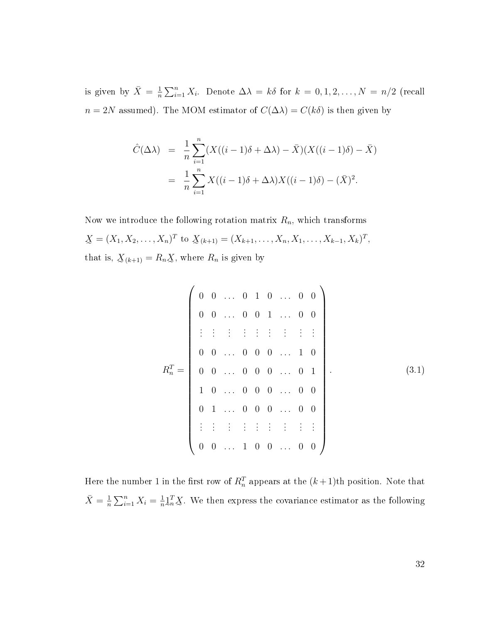is given by  $\bar{X} = \frac{1}{n}$  $\frac{1}{n}\sum_{i=1}^{n} X_i$ . Denote  $\Delta \lambda = k\delta$  for  $k = 0, 1, 2, ..., N = n/2$  (recall  $n = 2N$  assumed). The MOM estimator of  $C(\Delta \lambda) = C(k\delta)$  is then given by

$$
\hat{C}(\Delta \lambda) = \frac{1}{n} \sum_{i=1}^{n} (X((i-1)\delta + \Delta \lambda) - \bar{X})(X((i-1)\delta) - \bar{X})
$$

$$
= \frac{1}{n} \sum_{i=1}^{n} X((i-1)\delta + \Delta \lambda)X((i-1)\delta) - (\bar{X})^2.
$$

Now we introduce the following rotation matrix  $R_n$ , which transforms  $\underline{X} = (X_1, X_2, \dots, X_n)^T$  to  $\underline{X}_{(k+1)} = (X_{k+1}, \dots, X_n, X_1, \dots, X_{k-1}, X_k)^T$ , that is,  $\underline{X}_{(k+1)} = R_n \underline{X}$ , where  $R_n$  is given by

$$
R_n^T = \begin{pmatrix} 0 & 0 & \dots & 0 & 1 & 0 & \dots & 0 & 0 \\ 0 & 0 & \dots & 0 & 0 & 1 & \dots & 0 & 0 \\ \vdots & \vdots & \vdots & \vdots & \vdots & \vdots & \vdots & \vdots & \vdots \\ 0 & 0 & \dots & 0 & 0 & 0 & \dots & 1 & 0 \\ 0 & 0 & \dots & 0 & 0 & 0 & \dots & 0 & 1 \\ 1 & 0 & \dots & 0 & 0 & 0 & \dots & 0 & 0 \\ 0 & 1 & \dots & 0 & 0 & 0 & \dots & 0 & 0 \\ \vdots & \vdots & \vdots & \vdots & \vdots & \vdots & \vdots & \vdots & \vdots \\ 0 & 0 & \dots & 1 & 0 & 0 & \dots & 0 & 0 \end{pmatrix}
$$
(3.1)

Here the number 1 in the first row of  $R_n^T$  appears at the  $(k+1)$ th position. Note that  $\bar{X} = \frac{1}{n}$  $\frac{1}{n} \sum_{i=1}^{n} X_i = \frac{1}{n}$  $\frac{1}{n} \lambda_n^T \chi$ . We then express the covariance estimator as the following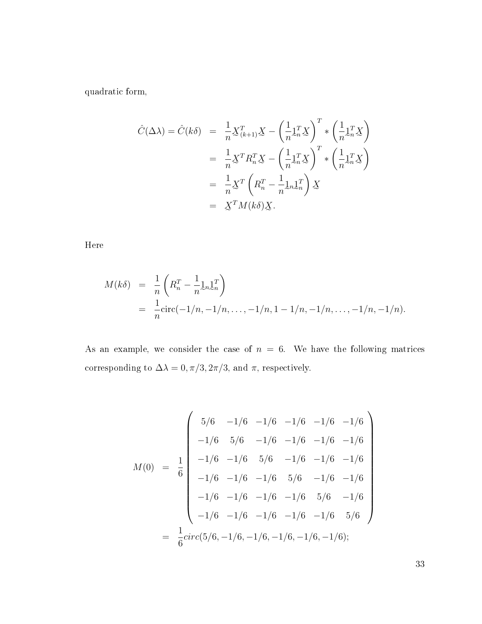quadratic form,

$$
\hat{C}(\Delta \lambda) = \hat{C}(k\delta) = \frac{1}{n} \mathbf{X}_{(k+1)}^T \mathbf{X} - \left(\frac{1}{n} \mathbf{1}_n^T \mathbf{X}\right)^T * \left(\frac{1}{n} \mathbf{1}_n^T \mathbf{X}\right)
$$

$$
= \frac{1}{n} \mathbf{X}^T R_n^T \mathbf{X} - \left(\frac{1}{n} \mathbf{1}_n^T \mathbf{X}\right)^T * \left(\frac{1}{n} \mathbf{1}_n^T \mathbf{X}\right)
$$

$$
= \frac{1}{n} \mathbf{X}^T \left(R_n^T - \frac{1}{n} \mathbf{1}_n \mathbf{1}_n^T\right) \mathbf{X}
$$

$$
= \mathbf{X}^T M(k\delta) \mathbf{X}.
$$

Here

$$
M(k\delta) = \frac{1}{n} \left( R_n^T - \frac{1}{n} \mathbf{1}_n \mathbf{1}_n^T \right)
$$
  
=  $\frac{1}{n} \text{circ}(-1/n, -1/n, \dots, -1/n, 1 - 1/n, -1/n, \dots, -1/n, -1/n).$ 

As an example, we consider the case of  $n = 6$ . We have the following matrices corresponding to  $\Delta \lambda = 0, \pi/3, 2\pi/3,$  and  $\pi,$  respectively.

$$
M(0) = \frac{1}{6} \begin{pmatrix} 5/6 & -1/6 & -1/6 & -1/6 & -1/6 & -1/6 \\ -1/6 & 5/6 & -1/6 & -1/6 & -1/6 & -1/6 \\ -1/6 & -1/6 & 5/6 & -1/6 & -1/6 & -1/6 \\ -1/6 & -1/6 & -1/6 & 5/6 & -1/6 & -1/6 \\ -1/6 & -1/6 & -1/6 & -1/6 & 5/6 & -1/6 \\ -1/6 & -1/6 & -1/6 & -1/6 & -1/6 & 5/6 \end{pmatrix}
$$
  
=  $\frac{1}{6} \text{circ}(5/6, -1/6, -1/6, -1/6, -1/6, -1/6, -1/6)$ ;

33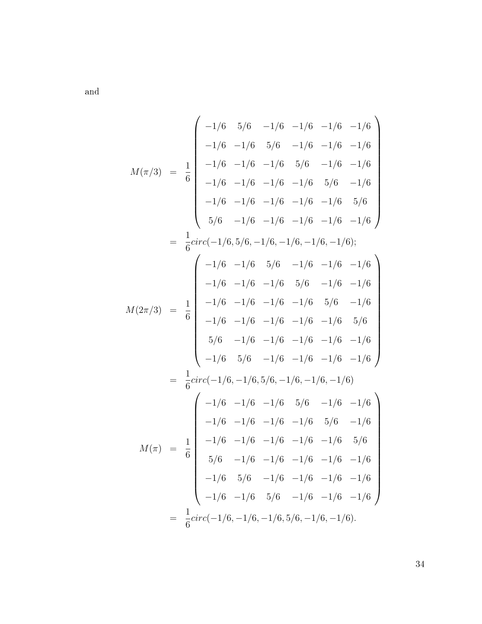and

$$
M(\pi/3) = \frac{1}{6}
$$
\n
$$
\begin{bmatrix}\n-1/6 & 5/6 & -1/6 & -1/6 & -1/6 & -1/6 \\
-1/6 & -1/6 & 5/6 & -1/6 & -1/6 & -1/6 \\
-1/6 & -1/6 & -1/6 & 5/6 & -1/6 & -1/6 \\
-1/6 & -1/6 & -1/6 & -1/6 & 5/6 & -1/6 \\
-1/6 & -1/6 & -1/6 & -1/6 & -1/6 & 5/6 \\
5/6 & -1/6 & -1/6 & -1/6 & -1/6 & -1/6\n\end{bmatrix}
$$
\n
$$
= \frac{1}{6} \operatorname{circ}(-1/6, 5/6, -1/6, -1/6, -1/6, -1/6, -1/6)
$$
\n
$$
M(2\pi/3) = \frac{1}{6}
$$
\n
$$
\begin{bmatrix}\n-1/6 & -1/6 & 5/6 & -1/6 & -1/6 & -1/6 \\
-1/6 & -1/6 & -1/6 & 5/6 & -1/6 & -1/6 \\
-1/6 & -1/6 & -1/6 & -1/6 & 5/6 & -1/6 \\
-1/6 & -1/6 & -1/6 & -1/6 & -1/6 & 5/6 \\
5/6 & -1/6 & -1/6 & -1/6 & -1/6 & -1/6 \\
-1/6 & 5/6 & -1/6 & -1/6 & -1/6 & -1/6 \\
-1/6 & 5/6 & -1/6 & -1/6 & -1/6 & -1/6\n\end{bmatrix}
$$
\n
$$
M(\pi) = \frac{1}{6} \begin{bmatrix}\n-1/6 & -1/6 & -1/6 & 5/6 & -1/6 \\
-1/6 & -1/6 & -1/6 & -1/6 & -1/6 \\
5/6 & -1/6 & -1/6 & -1/6 & -1/6 \\
5/6 & -1/6 & -1/6 & -1/6 & -1/6 \\
5/6 & -1/6 & -1/6 & -1/6 & -1/6 \\
-1/6 & 5/6 & -1/6 & -1/6 & -1/6 \\
-1/6 & 5/6 & -1/6 & -1/6 & -1/6 \\
-1/6 & 5/6 & -1/6 & -1/6 & -1/6 \\
-1/6 & 5
$$

34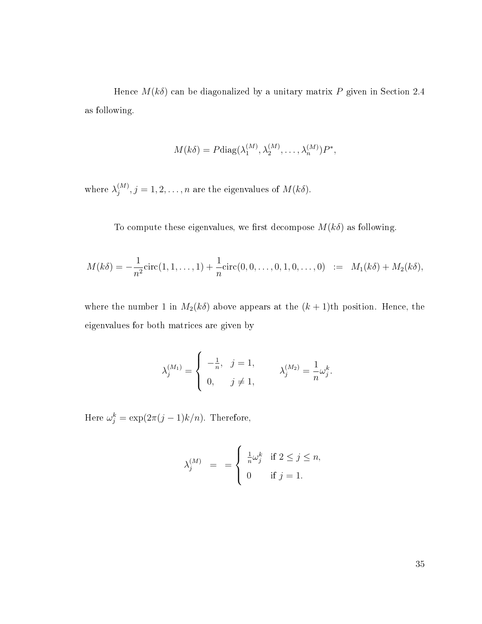Hence  $M(k\delta)$  can be diagonalized by a unitary matrix P given in Section 2.4 as following.

$$
M(k\delta) = P \text{diag}(\lambda_1^{(M)}, \lambda_2^{(M)}, \dots, \lambda_n^{(M)}) P^*,
$$

where  $\lambda_i^{(M)}$  $j^{(M)}, j=1,2,\ldots,n$  are the eigenvalues of  $M(k\delta).$ 

To compute these eigenvalues, we first decompose  $M(k\delta)$  as following.

$$
M(k\delta) = -\frac{1}{n^2} \text{circ}(1, 1, \dots, 1) + \frac{1}{n} \text{circ}(0, 0, \dots, 0, 1, 0, \dots, 0) := M_1(k\delta) + M_2(k\delta),
$$

where the number 1 in  $M_2(k\delta)$  above appears at the  $(k+1)$ th position. Hence, the eigenvalues for both matrices are given by

$$
\lambda_j^{(M_1)} = \begin{cases}\n-\frac{1}{n}, & j = 1, \\
0, & j \neq 1,\n\end{cases} \qquad \lambda_j^{(M_2)} = \frac{1}{n} \omega_j^k.
$$

Here  $\omega_j^k = \exp(2\pi (j-1)k/n)$ . Therefore,

$$
\lambda_j^{(M)} = \begin{cases} \frac{1}{n}\omega_j^k & \text{if } 2 \le j \le n, \\ 0 & \text{if } j = 1. \end{cases}
$$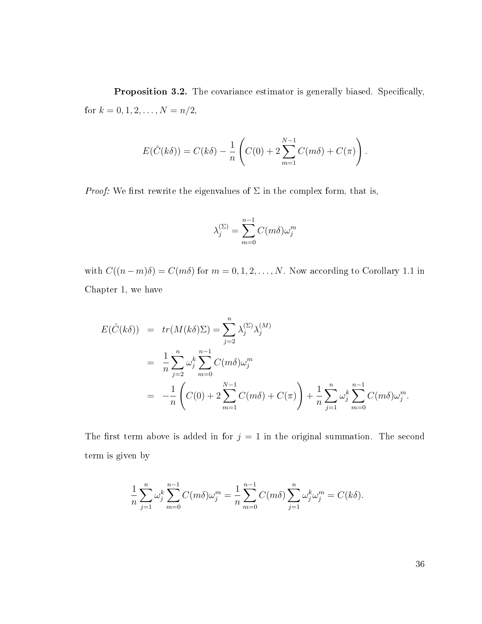Proposition 3.2. The covariance estimator is generally biased. Specifically, for  $k = 0, 1, 2, \ldots, N = n/2$ ,

$$
E(\hat{C}(k\delta)) = C(k\delta) - \frac{1}{n} \left( C(0) + 2 \sum_{m=1}^{N-1} C(m\delta) + C(\pi) \right).
$$

*Proof:* We first rewrite the eigenvalues of  $\Sigma$  in the complex form, that is,

$$
\lambda_j^{(\Sigma)} = \sum_{m=0}^{n-1} C(m\delta) \omega_j^m
$$

with  $C((n-m)\delta) = C(m\delta)$  for  $m = 0, 1, 2, ..., N$ . Now according to Corollary 1.1 in Chapter 1, we have

$$
E(\hat{C}(k\delta)) = tr(M(k\delta)\Sigma) = \sum_{j=2}^{n} \lambda_j^{(\Sigma)} \lambda_j^{(M)}
$$
  
= 
$$
\frac{1}{n} \sum_{j=2}^{n} \omega_j^k \sum_{m=0}^{n-1} C(m\delta) \omega_j^m
$$
  
= 
$$
-\frac{1}{n} \left( C(0) + 2 \sum_{m=1}^{N-1} C(m\delta) + C(\pi) \right) + \frac{1}{n} \sum_{j=1}^{n} \omega_j^k \sum_{m=0}^{n-1} C(m\delta) \omega_j^m.
$$

The first term above is added in for  $j = 1$  in the original summation. The second term is given by

$$
\frac{1}{n} \sum_{j=1}^{n} \omega_j^k \sum_{m=0}^{n-1} C(m\delta) \omega_j^m = \frac{1}{n} \sum_{m=0}^{n-1} C(m\delta) \sum_{j=1}^{n} \omega_j^k \omega_j^m = C(k\delta).
$$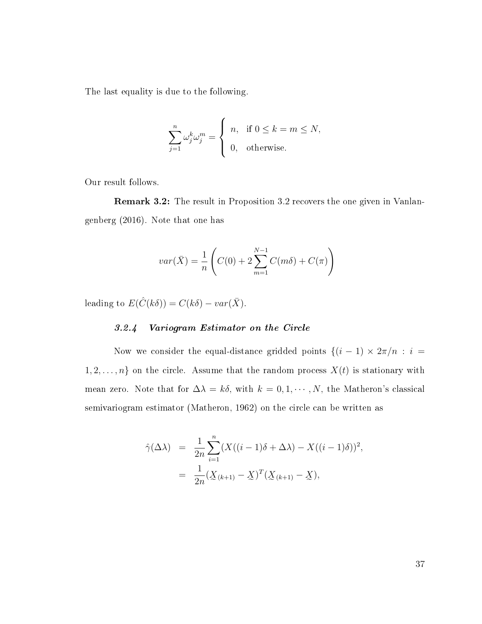The last equality is due to the following.

$$
\sum_{j=1}^{n} \omega_j^k \omega_j^m = \begin{cases} n, & \text{if } 0 \le k = m \le N, \\ 0, & \text{otherwise.} \end{cases}
$$

Our result follows.

Remark 3.2: The result in Proposition 3.2 recovers the one given in Vanlangenberg (2016). Note that one has

$$
var(\bar{X}) = \frac{1}{n} \left( C(0) + 2 \sum_{m=1}^{N-1} C(m\delta) + C(\pi) \right)
$$

leading to  $E(\hat{C}(k\delta)) = C(k\delta) - var(\bar{X})$ .

# 3.2.4 Variogram Estimator on the Circle

Now we consider the equal-distance gridded points  $\{(i - 1) \times 2\pi/n : i =$  $1, 2, \ldots, n$  on the circle. Assume that the random process  $X(t)$  is stationary with mean zero. Note that for  $\Delta \lambda = k \delta$ , with  $k = 0, 1, \dots, N$ , the Matheron's classical semivariogram estimator (Matheron, 1962) on the circle can be written as

$$
\hat{\gamma}(\Delta \lambda) = \frac{1}{2n} \sum_{i=1}^{n} (X((i-1)\delta + \Delta \lambda) - X((i-1)\delta))^2,
$$
  
= 
$$
\frac{1}{2n} (X_{(k+1)} - X)^T (X_{(k+1)} - X),
$$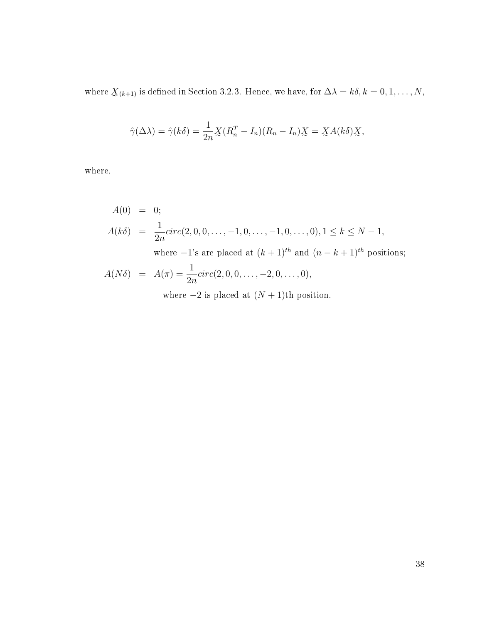where  $\underline{X}_{(k+1)}$  is defined in Section 3.2.3. Hence, we have, for  $\Delta\lambda = k\delta, k = 0, 1, \ldots, N$ ,

$$
\hat{\gamma}(\Delta \lambda) = \hat{\gamma}(k\delta) = \frac{1}{2n} \underline{X} (R_n^T - I_n)(R_n - I_n) \underline{X} = \underline{X} A(k\delta) \underline{X},
$$

where,

$$
A(0) = 0;
$$
  
\n
$$
A(k\delta) = \frac{1}{2n} \text{circ}(2, 0, 0, \dots, -1, 0, \dots, -1, 0, \dots, 0), 1 \le k \le N - 1,
$$
  
\nwhere  $-1$ 's are placed at  $(k + 1)$ <sup>th</sup> and  $(n - k + 1)$ <sup>th</sup> positions;  
\n
$$
A(N\delta) = A(\pi) = \frac{1}{2n} \text{circ}(2, 0, 0, \dots, -2, 0, \dots, 0),
$$

where  $-2$  is placed at  $(N + 1)$ th position.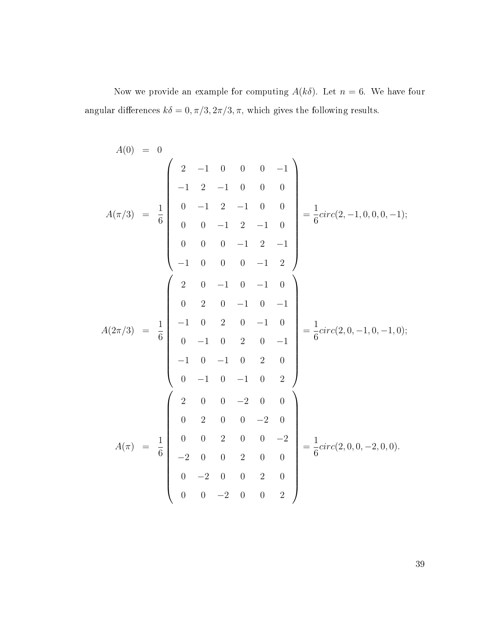Now we provide an example for computing  $A(k\delta)$ . Let  $n = 6$ . We have four angular differences  $k\delta=0,\pi/3,2\pi/3,\pi,$  which gives the following results.

$$
A(0) = 0
$$
\n
$$
A(\pi/3) = \frac{1}{6} \begin{pmatrix} 2 & -1 & 0 & 0 & 0 & -1 \\ -1 & 2 & -1 & 0 & 0 & 0 \\ 0 & -1 & 2 & -1 & 0 & 0 \\ 0 & 0 & -1 & 2 & -1 & 0 \\ 0 & 0 & 0 & -1 & 2 & -1 \\ -1 & 0 & 0 & 0 & -1 & 2 \end{pmatrix} = \frac{1}{6} circ(2, -1, 0, 0, 0, -1);
$$
\n
$$
A(2\pi/3) = \frac{1}{6} \begin{pmatrix} 2 & 0 & -1 & 0 & -1 & 0 \\ -1 & 0 & 2 & 0 & -1 & 0 \\ 0 & -1 & 0 & 2 & 0 & -1 \\ -1 & 0 & -1 & 0 & 2 & 0 \\ 0 & -1 & 0 & -1 & 0 & 2 \end{pmatrix} = \frac{1}{6} circ(2, 0, -1, 0, -1, 0);
$$
\n
$$
A(\pi) = \frac{1}{6} \begin{pmatrix} 2 & 0 & 0 & -2 & 0 & 0 \\ 0 & 2 & 0 & 0 & -2 & 0 \\ 0 & 0 & 2 & 0 & 0 & -2 \\ -2 & 0 & 0 & 2 & 0 & 0 \\ 0 & -2 & 0 & 0 & 2 & 0 \\ 0 & 0 & -2 & 0 & 0 & 2 \end{pmatrix} = \frac{1}{6} circ(2, 0, 0, -2, 0, 0).
$$

39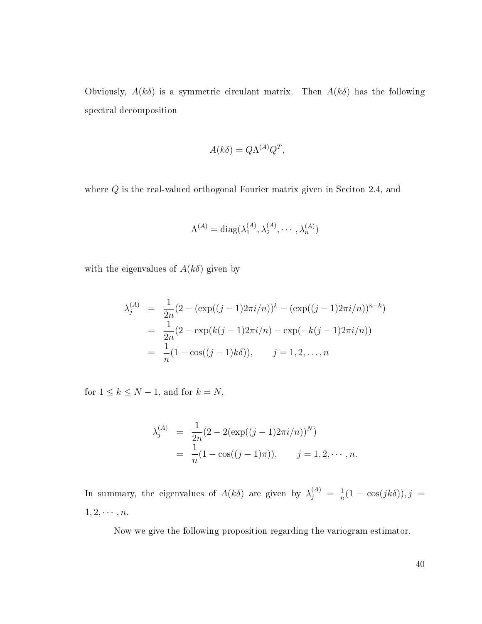Obviously,  $A(k\delta)$  is a symmetric circulant matrix. Then  $A(k\delta)$  has the following spectral decomposition

$$
A(k\delta) = Q\Lambda^{(A)}Q^T,
$$

where Q is the real-valued orthogonal Fourier matrix given in Seciton 2.4, and

$$
\Lambda^{(A)} = \text{diag}(\lambda_1^{(A)}, \lambda_2^{(A)}, \cdots, \lambda_n^{(A)})
$$

with the eigenvalues of  $A(k\delta)$  given by

$$
\lambda_j^{(A)} = \frac{1}{2n} (2 - (\exp((j-1)2\pi i/n))^k - (\exp((j-1)2\pi i/n))^{n-k})
$$
  
= 
$$
\frac{1}{2n} (2 - \exp(k(j-1)2\pi i/n) - \exp(-k(j-1)2\pi i/n))
$$
  
= 
$$
\frac{1}{n} (1 - \cos((j-1)k\delta)), \qquad j = 1, 2, ..., n
$$

for  $1 \leq k \leq N-1$ , and for  $k = N$ ,

$$
\lambda_j^{(A)} = \frac{1}{2n} (2 - 2(\exp((j - 1)2\pi i/n))^N)
$$
  
=  $\frac{1}{n} (1 - \cos((j - 1)\pi)), \quad j = 1, 2, \dots, n.$ 

In summary, the eigenvalues of  $A(k\delta)$  are given by  $\lambda_j^{(A)} = \frac{1}{n}$  $\frac{1}{n}(1-\cos(jk\delta)), j =$  $1, 2, \cdots, n.$ 

Now we give the following proposition regarding the variogram estimator.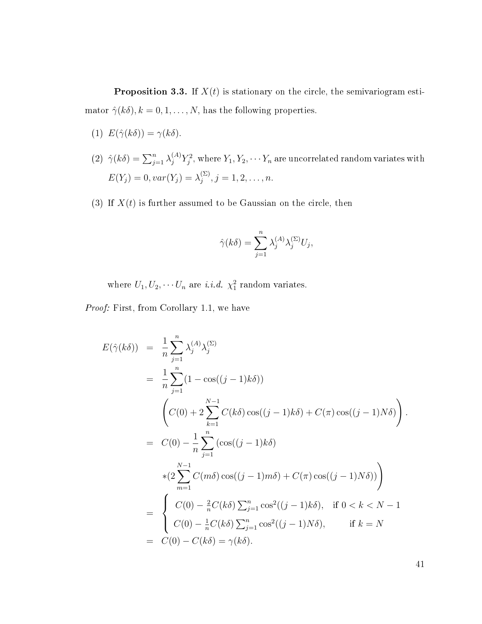**Proposition 3.3.** If  $X(t)$  is stationary on the circle, the semivariogram estimator  $\hat{\gamma}(k\delta), k = 0, 1, ..., N$ , has the following properties.

- (1)  $E(\hat{\gamma}(k\delta)) = \gamma(k\delta).$
- (2)  $\hat{\gamma}(k\delta) = \sum_{j=1}^n \lambda_j^{(A)} Y_j^2$ , where  $Y_1, Y_2, \cdots Y_n$  are uncorrelated random variates with  $E(Y_j) = 0, var(Y_j) = \lambda_i^{(\Sigma)}$  $j^{(\Sigma)}, j = 1, 2, \ldots, n.$
- (3) If  $X(t)$  is further assumed to be Gaussian on the circle, then

$$
\hat{\gamma}(k\delta) = \sum_{j=1}^{n} \lambda_j^{(A)} \lambda_j^{(\Sigma)} U_j,
$$

where  $U_1, U_2, \cdots U_n$  are *i.i.d.*  $\chi_1^2$  random variates.

Proof: First, from Corollary 1.1, we have

$$
E(\hat{\gamma}(k\delta)) = \frac{1}{n} \sum_{j=1}^{n} \lambda_j^{(A)} \lambda_j^{(\Sigma)}
$$
  
\n
$$
= \frac{1}{n} \sum_{j=1}^{n} (1 - \cos((j-1)k\delta))
$$
  
\n
$$
\left(C(0) + 2 \sum_{k=1}^{N-1} C(k\delta) \cos((j-1)k\delta) + C(\pi) \cos((j-1)N\delta) \right).
$$
  
\n
$$
= C(0) - \frac{1}{n} \sum_{j=1}^{n} (\cos((j-1)k\delta)
$$
  
\n
$$
*(2 \sum_{m=1}^{N-1} C(m\delta) \cos((j-1)m\delta) + C(\pi) \cos((j-1)N\delta)) \right)
$$
  
\n
$$
= \begin{cases} C(0) - \frac{2}{n} C(k\delta) \sum_{j=1}^{n} \cos^2((j-1)k\delta), & \text{if } 0 < k < N - 1 \\ C(0) - \frac{1}{n} C(k\delta) \sum_{j=1}^{n} \cos^2((j-1)N\delta), & \text{if } k = N \end{cases}
$$
  
\n
$$
= C(0) - C(k\delta) = \gamma(k\delta).
$$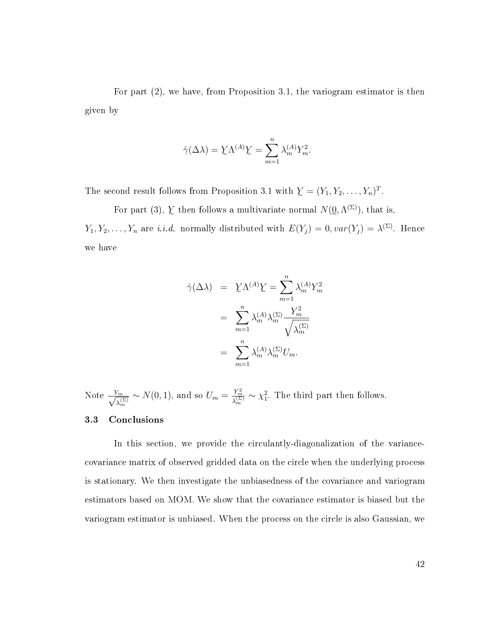For part (2), we have, from Proposition 3.1, the variogram estimator is then given by

$$
\hat{\gamma}(\Delta \lambda) = \underline{Y} \Lambda^{(A)} \underline{Y} = \sum_{m=1}^{n} \lambda_m^{(A)} Y_m^2.
$$

The second result follows from Proposition 3.1 with  $\mathbf{Y} = (Y_1, Y_2, \dots, Y_n)^T$ .

For part (3),  $\chi$  then follows a multivariate normal  $N(\mathcal{Q}, \Lambda^{(\Sigma)})$ , that is,  $Y_1, Y_2, \ldots, Y_n$  are *i.i.d.* normally distributed with  $E(Y_j) = 0$ ,  $var(Y_j) = \lambda^{(\Sigma)}$ . Hence we have

$$
\hat{\gamma}(\Delta \lambda) = \sum_{m=1}^{n} \lambda_m^{(A)} Y_m^2 = \sum_{m=1}^{n} \lambda_m^{(A)} Y_m^2
$$

$$
= \sum_{m=1}^{n} \lambda_m^{(A)} \lambda_m^{(\Sigma)} \frac{Y_m^2}{\sqrt{\lambda_m^{(\Sigma)}}}
$$

$$
= \sum_{m=1}^{n} \lambda_m^{(A)} \lambda_m^{(\Sigma)} U_m.
$$

Note  $\frac{Y_m}{\sqrt{a}}$  $\frac{\chi_m}{\lambda_m^{(\Sigma)}} \sim N(0, 1)$ , and so  $U_m = \frac{Y_m^2}{\lambda_m^{(\Sigma)}}$  $\frac{Y_m^2}{\lambda_m^{(\Sigma)}} \sim \chi_1^2$ . The third part then follows.

### 3.3 Conclusions

In this section, we provide the circulantly-diagonalization of the variancecovariance matrix of observed gridded data on the circle when the underlying process is stationary. We then investigate the unbiasedness of the covariance and variogram estimators based on MOM. We show that the covariance estimator is biased but the variogram estimator is unbiased. When the process on the circle is also Gaussian, we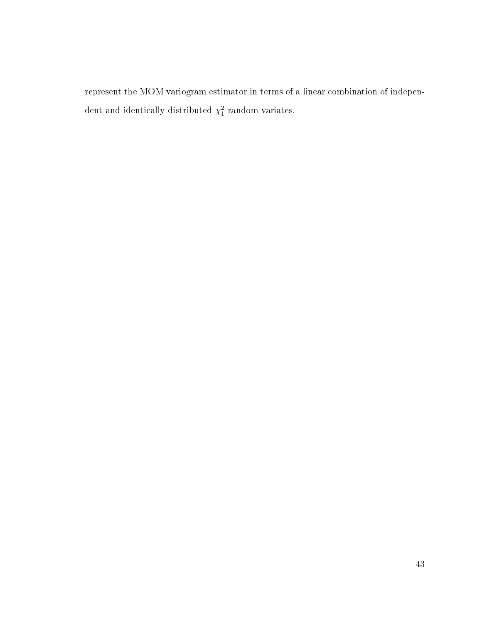represent the MOM variogram estimator in terms of a linear combination of independent and identically distributed  $\chi_1^2$  random variates.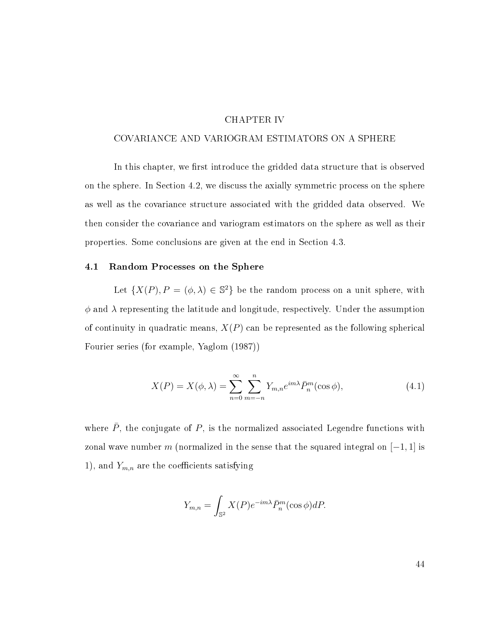## CHAPTER IV

#### COVARIANCE AND VARIOGRAM ESTIMATORS ON A SPHERE

In this chapter, we first introduce the gridded data structure that is observed on the sphere. In Section 4.2, we discuss the axially symmetric process on the sphere as well as the covariance structure associated with the gridded data observed. We then consider the covariance and variogram estimators on the sphere as well as their properties. Some conclusions are given at the end in Section 4.3.

#### 4.1 Random Processes on the Sphere

Let  $\{X(P), P = (\phi, \lambda) \in \mathbb{S}^2\}$  be the random process on a unit sphere, with  $\phi$  and  $\lambda$  representing the latitude and longitude, respectively. Under the assumption of continuity in quadratic means,  $X(P)$  can be represented as the following spherical Fourier series (for example, Yaglom (1987))

$$
X(P) = X(\phi, \lambda) = \sum_{n=0}^{\infty} \sum_{m=-n}^{n} Y_{m,n} e^{im\lambda} \bar{P}_n^m(\cos \phi), \qquad (4.1)
$$

where  $\bar{P}$ , the conjugate of  $P$ , is the normalized associated Legendre functions with zonal wave number m (normalized in the sense that the squared integral on  $[-1, 1]$  is 1), and  $Y_{m,n}$  are the coefficients satisfying

$$
Y_{m,n} = \int_{\mathbb{S}^2} X(P) e^{-im\lambda} \bar{P}_n^m(\cos \phi) dP.
$$

44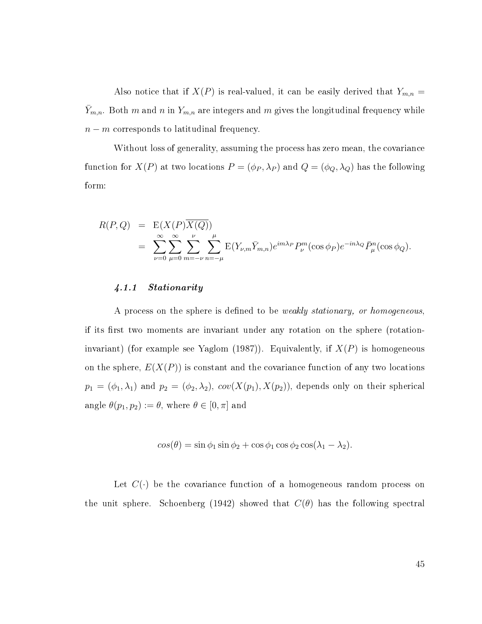Also notice that if  $X(P)$  is real-valued, it can be easily derived that  $Y_{m,n} =$  $\overline{Y}_{m,n}$ . Both m and n in  $Y_{m,n}$  are integers and m gives the longitudinal frequency while  $n - m$  corresponds to latitudinal frequency.

Without loss of generality, assuming the process has zero mean, the covariance function for  $X(P)$  at two locations  $P = (\phi_P, \lambda_P)$  and  $Q = (\phi_Q, \lambda_Q)$  has the following form:

$$
R(P,Q) = \mathcal{E}(X(P)\overline{X(Q)})
$$
  
= 
$$
\sum_{\nu=0}^{\infty} \sum_{\mu=0}^{\infty} \sum_{m=-\nu}^{\nu} \sum_{n=-\mu}^{\mu} \mathcal{E}(Y_{\nu,m}\overline{Y}_{m,n}) e^{im\lambda_P} P_{\nu}^{m}(\cos \phi_P) e^{-in\lambda_Q} \overline{P}_{\mu}^{n}(\cos \phi_Q).
$$

## 4.1.1 Stationarity

A process on the sphere is defined to be *weakly stationary, or homogeneous*. if its first two moments are invariant under any rotation on the sphere (rotationinvariant) (for example see Yaglom (1987)). Equivalently, if  $X(P)$  is homogeneous on the sphere,  $E(X(P))$  is constant and the covariance function of any two locations  $p_1 = (\phi_1, \lambda_1)$  and  $p_2 = (\phi_2, \lambda_2)$ ,  $cov(X(p_1), X(p_2))$ , depends only on their spherical angle  $\theta(p_1, p_2) := \theta$ , where  $\theta \in [0, \pi]$  and

$$
cos(\theta) = \sin \phi_1 \sin \phi_2 + \cos \phi_1 \cos \phi_2 \cos(\lambda_1 - \lambda_2).
$$

Let  $C(\cdot)$  be the covariance function of a homogeneous random process on the unit sphere. Schoenberg (1942) showed that  $C(\theta)$  has the following spectral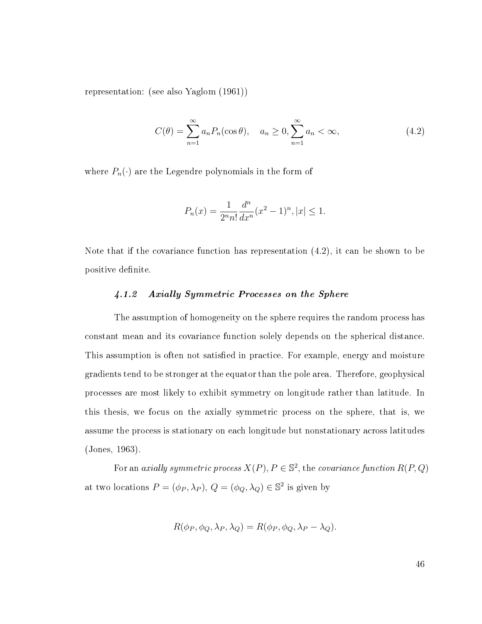representation: (see also Yaglom (1961))

<span id="page-52-0"></span>
$$
C(\theta) = \sum_{n=1}^{\infty} a_n P_n(\cos \theta), \quad a_n \ge 0, \sum_{n=1}^{\infty} a_n < \infty,
$$
\n(4.2)

where  $P_n(\cdot)$  are the Legendre polynomials in the form of

$$
P_n(x) = \frac{1}{2^n n!} \frac{d^n}{dx^n} (x^2 - 1)^n, |x| \le 1.
$$

Note that if the covariance function has representation [\(4.2\)](#page-52-0), it can be shown to be positive definite.

## 4.1.2 Axially Symmetric Processes on the Sphere

The assumption of homogeneity on the sphere requires the random process has constant mean and its covariance function solely depends on the spherical distance. This assumption is often not satisfied in practice. For example, energy and moisture gradients tend to be stronger at the equator than the pole area. Therefore, geophysical processes are most likely to exhibit symmetry on longitude rather than latitude. In this thesis, we focus on the axially symmetric process on the sphere, that is, we assume the process is stationary on each longitude but nonstationary across latitudes (Jones, 1963).

For an *axially symmetric process*  $X(P)$ ,  $P \in \mathbb{S}^2$ , the *covariance function*  $R(P,Q)$ at two locations  $P = (\phi_P, \lambda_P)$ ,  $Q = (\phi_Q, \lambda_Q) \in \mathbb{S}^2$  is given by

$$
R(\phi_P, \phi_Q, \lambda_P, \lambda_Q) = R(\phi_P, \phi_Q, \lambda_P - \lambda_Q).
$$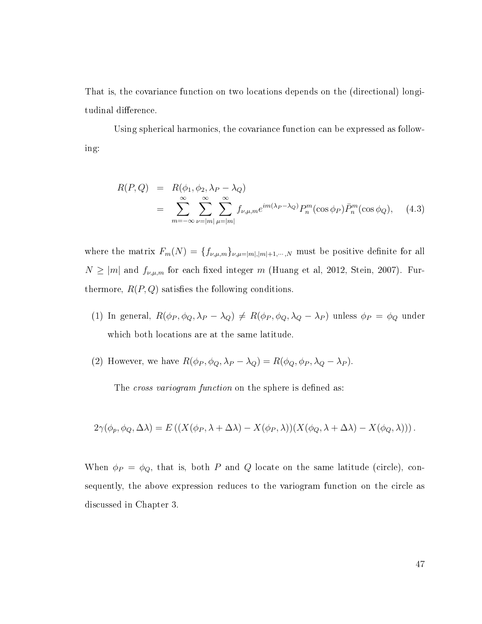That is, the covariance function on two locations depends on the (directional) longitudinal difference.

Using spherical harmonics, the covariance function can be expressed as following:

$$
R(P,Q) = R(\phi_1, \phi_2, \lambda_P - \lambda_Q)
$$
  
= 
$$
\sum_{m=-\infty}^{\infty} \sum_{\nu=|m|}^{\infty} \sum_{\mu=m}^{\infty} f_{\nu,\mu,m} e^{im(\lambda_P - \lambda_Q)} P_n^m(\cos \phi_P) \bar{P}_n^m(\cos \phi_Q),
$$
 (4.3)

where the matrix  $F_m(N) = \{f_{\nu,\mu,m}\}_{\nu,\mu=|m|,|m|+1,\dots,N}$  must be positive definite for all  $N \ge |m|$  and  $f_{\nu,\mu,m}$  for each fixed integer m (Huang et al, 2012, Stein, 2007). Furthermore,  $R(P,Q)$  satisfies the following conditions.

- (1) In general,  $R(\phi_P, \phi_Q, \lambda_P \lambda_Q) \neq R(\phi_P, \phi_Q, \lambda_Q \lambda_P)$  unless  $\phi_P = \phi_Q$  under which both locations are at the same latitude.
- (2) However, we have  $R(\phi_P, \phi_Q, \lambda_P \lambda_Q) = R(\phi_Q, \phi_P, \lambda_Q \lambda_P)$ .

The cross variogram function on the sphere is defined as:

$$
2\gamma(\phi_p, \phi_Q, \Delta\lambda) = E\left( (X(\phi_P, \lambda + \Delta\lambda) - X(\phi_P, \lambda))(X(\phi_Q, \lambda + \Delta\lambda) - X(\phi_Q, \lambda)) \right).
$$

When  $\phi_P = \phi_Q$ , that is, both P and Q locate on the same latitude (circle), consequently, the above expression reduces to the variogram function on the circle as discussed in Chapter 3.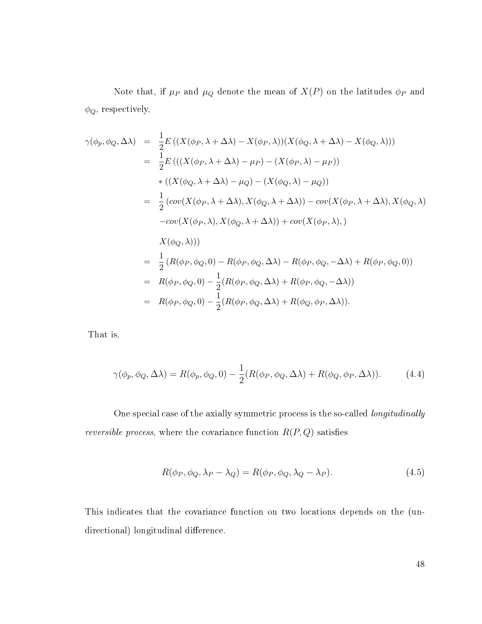Note that, if  $\mu_P$  and  $\mu_Q$  denote the mean of  $X(P)$  on the latitudes  $\phi_P$  and  $\phi_Q,$  respectively,

$$
\gamma(\phi_p, \phi_Q, \Delta \lambda) = \frac{1}{2} E\left( (X(\phi_P, \lambda + \Delta \lambda) - X(\phi_P, \lambda))(X(\phi_Q, \lambda + \Delta \lambda) - X(\phi_Q, \lambda)) \right)
$$
  
\n
$$
= \frac{1}{2} E\left( ((X(\phi_P, \lambda + \Delta \lambda) - \mu_P) - (X(\phi_P, \lambda) - \mu_P)) \right)
$$
  
\n
$$
* ((X(\phi_Q, \lambda + \Delta \lambda) - \mu_Q) - (X(\phi_Q, \lambda) - \mu_Q))
$$
  
\n
$$
= \frac{1}{2} (\cos(X(\phi_P, \lambda + \Delta \lambda), X(\phi_Q, \lambda + \Delta \lambda)) - \cos(X(\phi_P, \lambda + \Delta \lambda), X(\phi_Q, \lambda)) - \cos(X(\phi_P, \lambda), X(\phi_Q, \lambda))
$$
  
\n
$$
= \cos(X(\phi_P, \lambda), X(\phi_Q, \lambda + \Delta \lambda)) + \cos(X(\phi_P, \lambda), \lambda)
$$
  
\n
$$
X(\phi_Q, \lambda))
$$
  
\n
$$
= \frac{1}{2} (R(\phi_P, \phi_Q, 0) - R(\phi_P, \phi_Q, \Delta \lambda) - R(\phi_P, \phi_Q, -\Delta \lambda) + R(\phi_P, \phi_Q, 0))
$$
  
\n
$$
= R(\phi_P, \phi_Q, 0) - \frac{1}{2} (R(\phi_P, \phi_Q, \Delta \lambda) + R(\phi_P, \phi_Q, -\Delta \lambda))
$$
  
\n
$$
= R(\phi_P, \phi_Q, 0) - \frac{1}{2} (R(\phi_P, \phi_Q, \Delta \lambda) + R(\phi_Q, \phi_P, \Delta \lambda)).
$$

That is,

<span id="page-54-0"></span>
$$
\gamma(\phi_p, \phi_Q, \Delta \lambda) = R(\phi_p, \phi_Q, 0) - \frac{1}{2}(R(\phi_P, \phi_Q, \Delta \lambda) + R(\phi_Q, \phi_P, \Delta \lambda)).
$$
\n(4.4)

One special case of the axially symmetric process is the so-called longitudinally reversible process, where the covariance function  $R(P,Q)$  satisfies

$$
R(\phi_P, \phi_Q, \lambda_P - \lambda_Q) = R(\phi_P, \phi_Q, \lambda_Q - \lambda_P). \tag{4.5}
$$

This indicates that the covariance function on two locations depends on the (undirectional) longitudinal difference.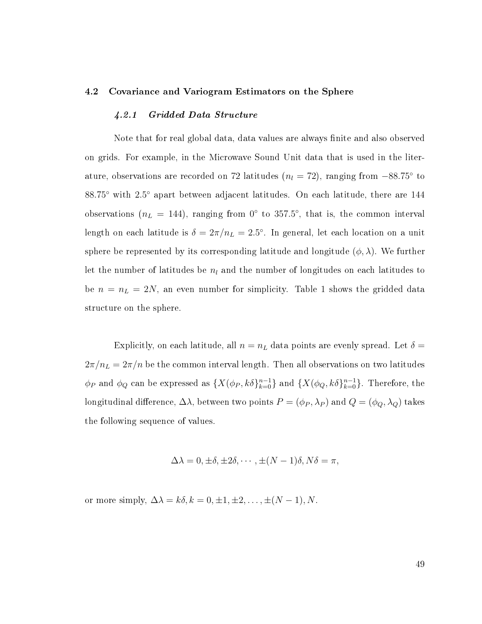#### 4.2 Covariance and Variogram Estimators on the Sphere

#### 4.2.1 Gridded Data Structure

Note that for real global data, data values are always finite and also observed on grids. For example, in the Microwave Sound Unit data that is used in the literature, observations are recorded on 72 latitudes  $(n_l = 72)$ , ranging from  $-88.75^{\circ}$  to 88.75° with 2.5° apart between adjacent latitudes. On each latitude, there are 144 observations ( $n<sub>L</sub> = 144$ ), ranging from 0° to 357.5°, that is, the common interval length on each latitude is  $\delta = 2\pi/n_L = 2.5^{\circ}$ . In general, let each location on a unit sphere be represented by its corresponding latitude and longitude  $(\phi, \lambda)$ . We further let the number of latitudes be  $n_l$  and the number of longitudes on each latitudes to be  $n = n_L = 2N$ , an even number for simplicity. Table 1 shows the gridded data structure on the sphere.

Explicitly, on each latitude, all  $n = n<sub>L</sub>$  data points are evenly spread. Let  $\delta =$  $2\pi/n_L = 2\pi/n$  be the common interval length. Then all observations on two latitudes  $\phi_P$  and  $\phi_Q$  can be expressed as  $\{X(\phi_P, k\delta\}_{k=0}^{n-1}\}$  and  $\{X(\phi_Q, k\delta\}_{k=0}^{n-1}\}$ . Therefore, the longitudinal difference,  $\Delta\lambda$ , between two points  $P=(\phi_P,\lambda_P)$  and  $Q=(\phi_Q,\lambda_Q)$  takes the following sequence of values.

$$
\Delta \lambda = 0, \pm \delta, \pm 2\delta, \cdots, \pm (N-1)\delta, N\delta = \pi,
$$

or more simply,  $\Delta \lambda = k \delta, k = 0, \pm 1, \pm 2, \ldots, \pm (N - 1), N$ .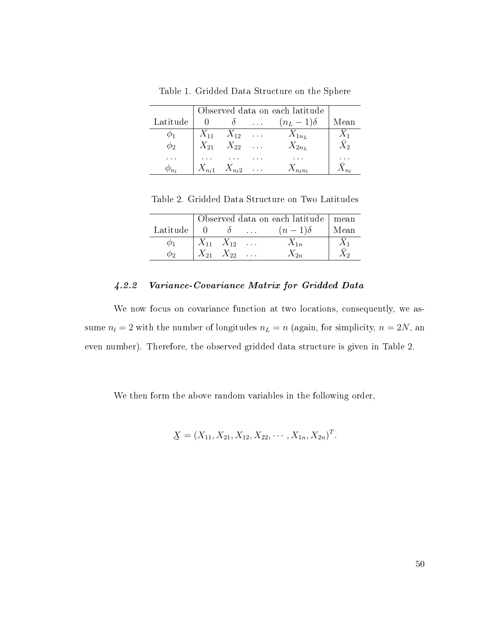Table 1. Gridded Data Structure on the Sphere

|             | Observed data on each latitude |                                    |                 |             |
|-------------|--------------------------------|------------------------------------|-----------------|-------------|
| Latitude    |                                | $\delta$                           | $(n_L-1)\delta$ | Mean        |
|             |                                | $X_{11} \quad X_{12} \quad \ldots$ | $X_{1n_L}$      | $X_1$       |
| $\varphi_2$ |                                | $X_{21}$ $X_{22}$                  | $X_{2n_L}$      | $\bar{X}_2$ |
|             |                                |                                    |                 |             |
|             |                                | $X_{n_1}$ $X_{n_2}$                |                 |             |

Table 2. Gridded Data Structure on Two Latitudes

|                          |                   | Observed data on each latitude   mean |      |
|--------------------------|-------------------|---------------------------------------|------|
| Latitude $\vert 0 \vert$ |                   | $(n-1)\delta$                         | Mean |
|                          | $X_{11}$ $X_{12}$ | $X_{1n}$                              |      |
|                          | $X_{21}$ $X_{22}$ | $\chi_{2n}$                           |      |

# 4.2.2 Variance-Covariance Matrix for Gridded Data

We now focus on covariance function at two locations, consequently, we assume  $n_l = 2$  with the number of longitudes  $n_L = n$  (again, for simplicity,  $n = 2N$ , and even number). Therefore, the observed gridded data structure is given in Table 2.

We then form the above random variables in the following order,

$$
\underline{X} = (X_{11}, X_{21}, X_{12}, X_{22}, \cdots, X_{1n}, X_{2n})^T.
$$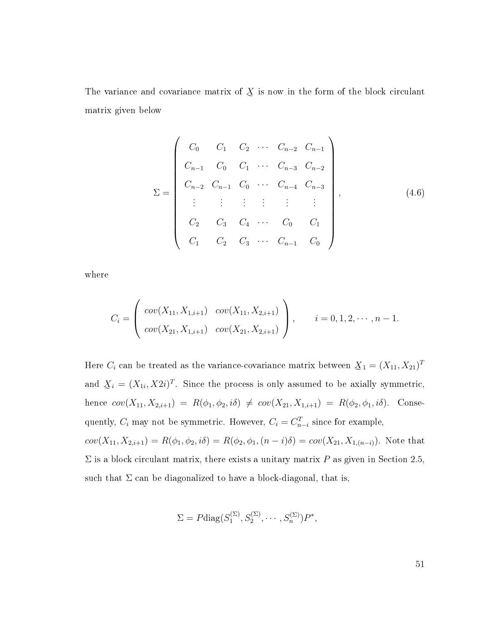The variance and covariance matrix of  $\chi$  is now in the form of the block circulant matrix given below

<span id="page-57-0"></span>
$$
\Sigma = \begin{pmatrix}\nC_0 & C_1 & C_2 & \cdots & C_{n-2} & C_{n-1} \\
C_{n-1} & C_0 & C_1 & \cdots & C_{n-3} & C_{n-2} \\
C_{n-2} & C_{n-1} & C_0 & \cdots & C_{n-4} & C_{n-3} \\
\vdots & \vdots & \vdots & \vdots & \vdots & \vdots \\
C_2 & C_3 & C_4 & \cdots & C_0 & C_1 \\
C_1 & C_2 & C_3 & \cdots & C_{n-1} & C_0\n\end{pmatrix},
$$
\n(4.6)

where

$$
C_i = \begin{pmatrix} cov(X_{11}, X_{1,i+1}) & cov(X_{11}, X_{2,i+1}) \\ cov(X_{21}, X_{1,i+1}) & cov(X_{21}, X_{2,i+1}) \end{pmatrix}, \quad i = 0, 1, 2, \cdots, n-1.
$$

Here  $C_i$  can be treated as the variance-covariance matrix between  $\mathcal{X}_1 = (X_{11}, X_{21})^T$ and  $\mathcal{X}_i = (X_{1i}, X2i)^T$ . Since the process is only assumed to be axially symmetric, hence  $cov(X_{11}, X_{2,i+1}) = R(\phi_1, \phi_2, i\delta) \neq cov(X_{21}, X_{1,i+1}) = R(\phi_2, \phi_1, i\delta)$ . Consequently,  $C_i$  may not be symmetric. However,  $C_i = C_{n-i}^T$  since for example,  $cov(X_{11}, X_{2,i+1}) = R(\phi_1, \phi_2, i\delta) = R(\phi_2, \phi_1, (n-i)\delta) = cov(X_{21}, X_{1,(n-i)})$ . Note that  $\Sigma$  is a block circulant matrix, there exists a unitary matrix P as given in Section 2.5,

such that  $\Sigma$  can be diagonalized to have a block-diagonal, that is,

 $\Sigma = P \text{diag}(S_1^{(\Sigma)})$  $S_1^{(\Sigma)}, S_2^{(\Sigma)}, \cdots, S_n^{(\Sigma)})P^*,$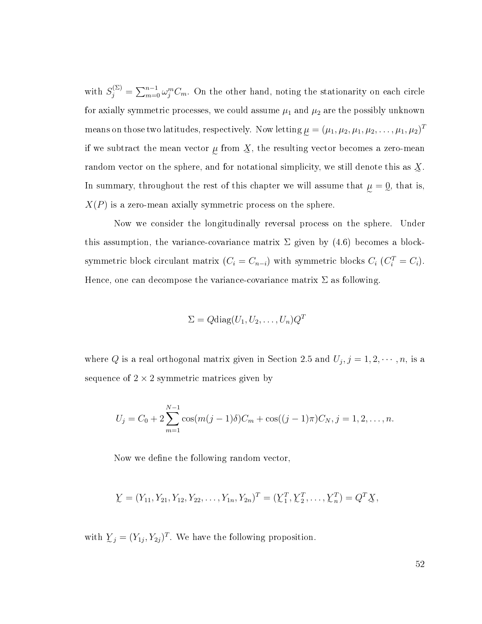with  $S_j^{(\Sigma)} = \sum_{m=0}^{n-1} \omega_j^m C_m$ . On the other hand, noting the stationarity on each circle for axially symmetric processes, we could assume  $\mu_1$  and  $\mu_2$  are the possibly unknown means on those two latitudes, respectively. Now letting  $\mu=(\mu_1,\mu_2,\mu_1,\mu_2,\ldots,\mu_1,\mu_2)^T$ if we subtract the mean vector  $\mu$  from  $\chi$ , the resulting vector becomes a zero-mean random vector on the sphere, and for notational simplicity, we still denote this as  $\chi$ . In summary, throughout the rest of this chapter we will assume that  $\mu = 0$ , that is,  $X(P)$  is a zero-mean axially symmetric process on the sphere.

Now we consider the longitudinally reversal process on the sphere. Under this assumption, the variance-covariance matrix  $\Sigma$  given by [\(4.6\)](#page-57-0) becomes a blocksymmetric block circulant matrix  $(C_i = C_{n-i})$  with symmetric blocks  $C_i$   $(C_i^T = C_i)$ . Hence, one can decompose the variance-covariance matrix  $\Sigma$  as following.

$$
\Sigma = Q \text{diag}(U_1, U_2, \dots, U_n) Q^T
$$

where Q is a real orthogonal matrix given in Section 2.5 and  $U_j, j = 1, 2, \cdots, n$ , is a sequence of  $2 \times 2$  symmetric matrices given by

$$
U_j = C_0 + 2\sum_{m=1}^{N-1} \cos(m(j-1)\delta)C_m + \cos((j-1)\pi)C_N, j = 1, 2, ..., n.
$$

Now we define the following random vector,

$$
\underline{Y} = (Y_{11}, Y_{21}, Y_{12}, Y_{22}, \dots, Y_{1n}, Y_{2n})^T = (\underline{Y}_1^T, \underline{Y}_2^T, \dots, \underline{Y}_n^T) = Q^T \underline{X},
$$

with  $\mathcal{Y}_j = (Y_{1j}, Y_{2j})^T$ . We have the following proposition.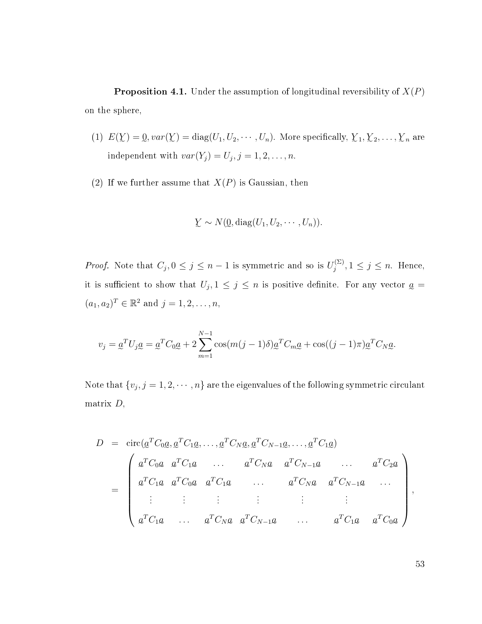**Proposition 4.1.** Under the assumption of longitudinal reversibility of  $X(P)$ on the sphere,

- (1)  $E(Y) = 0$ ,  $var(Y) = diag(U_1, U_2, \dots, U_n)$ . More specifically,  $Y_1, Y_2, \dots, Y_n$  are independent with  $var(Y_j) = U_j, j = 1, 2, \ldots, n$ .
- (2) If we further assume that  $X(P)$  is Gaussian, then

$$
\underline{Y} \sim N(\underline{0}, \text{diag}(U_1, U_2, \cdots, U_n)).
$$

*Proof.* Note that  $C_j$ ,  $0 \le j \le n-1$  is symmetric and so is  $U_j^{(\Sigma)}$  $j^{(\Sigma)}$ ,  $1 \leq j \leq n$ . Hence, it is sufficient to show that  $U_j, 1 \leq j \leq n$  is positive definite. For any vector  $\underline{a} =$  $(a_1, a_2)^T \in \mathbb{R}^2$  and  $j = 1, 2, ..., n$ ,

$$
v_j = \underline{a}^T U_j \underline{a} = \underline{a}^T C_0 \underline{a} + 2 \sum_{m=1}^{N-1} \cos(m(j-1)\delta) \underline{a}^T C_m \underline{a} + \cos((j-1)\pi) \underline{a}^T C_N \underline{a}.
$$

Note that  $\{v_j, j=1,2,\cdots,n\}$  are the eigenvalues of the following symmetric circulant matrix  $D$ ,

$$
D = \text{circ}(\underline{a}^T C_0 \underline{a}, \underline{a}^T C_1 \underline{a}, \dots, \underline{a}^T C_N \underline{a}, \underline{a}^T C_{N-1} \underline{a}, \dots, \underline{a}^T C_1 \underline{a})
$$
  
\n
$$
= \begin{pmatrix} \underline{a}^T C_0 \underline{a} & \underline{a}^T C_1 \underline{a} & \dots & \underline{a}^T C_N \underline{a} & \underline{a}^T C_{N-1} \underline{a} & \dots & \underline{a}^T C_2 \underline{a} \\ \underline{a}^T C_1 \underline{a} & \underline{a}^T C_0 \underline{a} & \underline{a}^T C_1 \underline{a} & \dots & \underline{a}^T C_N \underline{a} & \underline{a}^T C_{N-1} \underline{a} & \dots \\ \vdots & \vdots & \vdots & \vdots & \vdots & \vdots \\ \underline{a}^T C_1 \underline{a} & \dots & \underline{a}^T C_N \underline{a} & \underline{a}^T C_{N-1} \underline{a} & \dots & \underline{a}^T C_1 \underline{a} & \underline{a}^T C_0 \underline{a} \end{pmatrix},
$$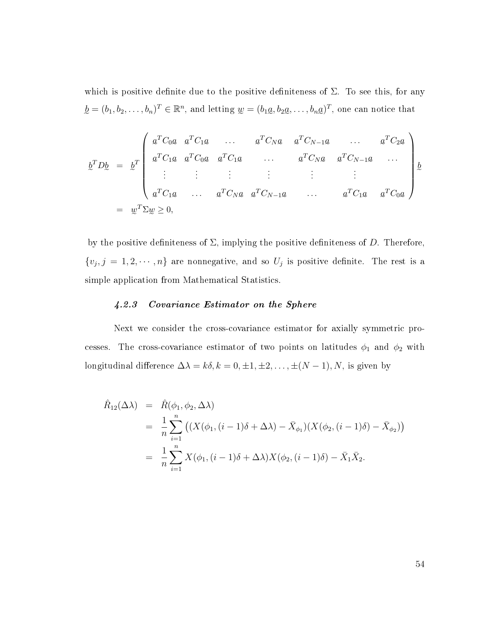which is positive definite due to the positive definiteness of  $\Sigma$ . To see this, for any  $\underline{b} = (b_1, b_2, \ldots, b_n)^T \in \mathbb{R}^n$ , and letting  $\underline{w} = (b_1 \underline{a}, b_2 \underline{a}, \ldots, b_n \underline{a})^T$ , one can notice that

b <sup>T</sup> Db = b T a e <sup>T</sup> C0a e a e <sup>T</sup> C1a e . . . a <sup>T</sup> C<sup>N</sup> a a <sup>T</sup> CN−1a . . . a <sup>T</sup> C2a a <sup>T</sup> C1a a <sup>T</sup> C0a a <sup>T</sup> C1a . . . a <sup>T</sup> C<sup>N</sup> a a <sup>T</sup> CN−1a . . . . . . . . . . . . . . . . . . . . . a e <sup>T</sup> C1a . . . a <sup>T</sup> C<sup>N</sup> a a <sup>T</sup> CN−1a . . . a <sup>T</sup> C1a a <sup>T</sup> C0a b = w <sup>T</sup> Σw ≥ 0,

by the positive definiteness of  $\Sigma$ , implying the positive definiteness of D. Therefore,  $\{v_j, j = 1, 2, \cdots, n\}$  are nonnegative, and so  $U_j$  is positive definite. The rest is a simple application from Mathematical Statistics.

# 4.2.3 Covariance Estimator on the Sphere

Next we consider the cross-covariance estimator for axially symmetric processes. The cross-covariance estimator of two points on latitudes  $\phi_1$  and  $\phi_2$  with longitudinal difference  $\Delta \lambda = k \delta, k = 0, \pm 1, \pm 2, \dots, \pm (N - 1), N$ , is given by

$$
\hat{R}_{12}(\Delta \lambda) = \hat{R}(\phi_1, \phi_2, \Delta \lambda)
$$
\n
$$
= \frac{1}{n} \sum_{i=1}^n \left( (X(\phi_1, (i-1)\delta + \Delta \lambda) - \bar{X}_{\phi_1})(X(\phi_2, (i-1)\delta) - \bar{X}_{\phi_2}) \right)
$$
\n
$$
= \frac{1}{n} \sum_{i=1}^n X(\phi_1, (i-1)\delta + \Delta \lambda) X(\phi_2, (i-1)\delta) - \bar{X}_1 \bar{X}_2.
$$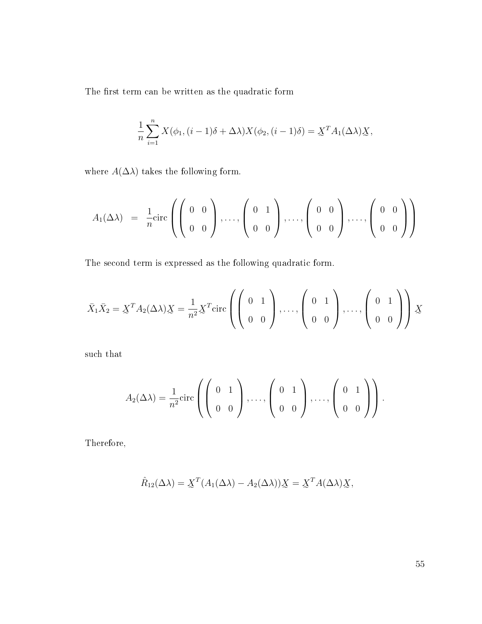The first term can be written as the quadratic form

$$
\frac{1}{n}\sum_{i=1}^{n}X(\phi_1,(i-1)\delta+\Delta\lambda)X(\phi_2,(i-1)\delta)=\underline{X}^T A_1(\Delta\lambda)\underline{X},
$$

where  $A(\Delta \lambda)$  takes the following form.

$$
A_1(\Delta \lambda) = \frac{1}{n} \text{circ} \left( \left( \begin{array}{cc} 0 & 0 \\ 0 & 0 \end{array} \right), \dots, \left( \begin{array}{cc} 0 & 1 \\ 0 & 0 \end{array} \right), \dots, \left( \begin{array}{cc} 0 & 0 \\ 0 & 0 \end{array} \right), \dots, \left( \begin{array}{cc} 0 & 0 \\ 0 & 0 \end{array} \right) \right)
$$

The second term is expressed as the following quadratic form.

$$
\bar{X}_1 \bar{X}_2 = \underline{X}^T A_2(\Delta \lambda) \underline{X} = \frac{1}{n^2} \underline{X}^T \text{circ} \left( \begin{pmatrix} 0 & 1 \\ 0 & 0 \end{pmatrix}, \dots, \begin{pmatrix} 0 & 1 \\ 0 & 0 \end{pmatrix}, \dots, \begin{pmatrix} 0 & 1 \\ 0 & 0 \end{pmatrix} \right) \underline{X}
$$

such that

$$
A_2(\Delta \lambda) = \frac{1}{n^2} \text{circ} \left( \left( \begin{array}{cc} 0 & 1 \\ 0 & 0 \end{array} \right), \dots, \left( \begin{array}{cc} 0 & 1 \\ 0 & 0 \end{array} \right), \dots, \left( \begin{array}{cc} 0 & 1 \\ 0 & 0 \end{array} \right) \right).
$$

Therefore,

$$
\hat{R}_{12}(\Delta \lambda) = \underline{X}^T (A_1(\Delta \lambda) - A_2(\Delta \lambda)) \underline{X} = \underline{X}^T A(\Delta \lambda) \underline{X},
$$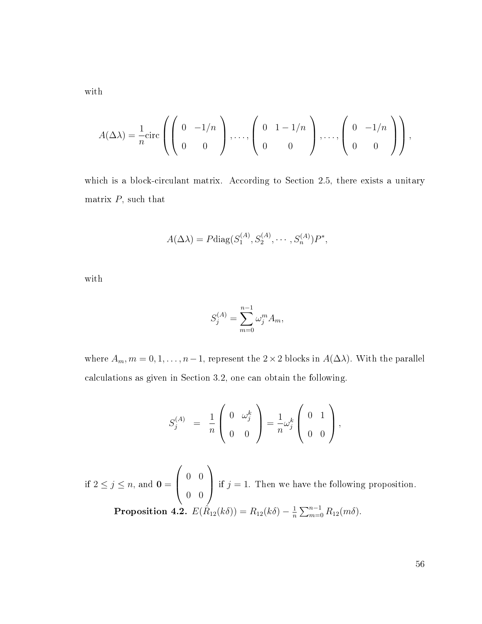with

$$
A(\Delta \lambda) = \frac{1}{n} \text{circ} \left( \left( \begin{array}{cc} 0 & -1/n \\ 0 & 0 \end{array} \right), \dots, \left( \begin{array}{cc} 0 & 1-1/n \\ 0 & 0 \end{array} \right), \dots, \left( \begin{array}{cc} 0 & -1/n \\ 0 & 0 \end{array} \right) \right),
$$

which is a block-circulant matrix. According to Section 2.5, there exists a unitary matrix  $P$ , such that

$$
A(\Delta \lambda) = P \text{diag}(S_1^{(A)}, S_2^{(A)}, \cdots, S_n^{(A)}) P^*,
$$

with

$$
S_j^{(A)} = \sum_{m=0}^{n-1} \omega_j^m A_m,
$$

where  $A_m$ ,  $m = 0, 1, ..., n-1$ , represent the 2×2 blocks in  $A(\Delta \lambda)$ . With the parallel calculations as given in Section 3.2, one can obtain the following.

$$
S_j^{(A)} = \frac{1}{n} \left( \begin{array}{cc} 0 & \omega_j^k \\[1mm] 0 & 0 \end{array} \right) = \frac{1}{n} \omega_j^k \left( \begin{array}{cc} 0 & 1 \\[1mm] 0 & 0 \end{array} \right),
$$

if  $2 \leq j \leq n$ , and  $\mathbf{0} =$  $\sqrt{ }$  $\overline{ }$ 0 0 0 0  $\setminus$ if  $j = 1$ . Then we have the following proposition. Proposition 4.2.  $E(\hat{R}_{12}(k\delta)) = R_{12}(k\delta) - \frac{1}{n}$  $\frac{1}{n} \sum_{m=0}^{n-1} R_{12}(m\delta).$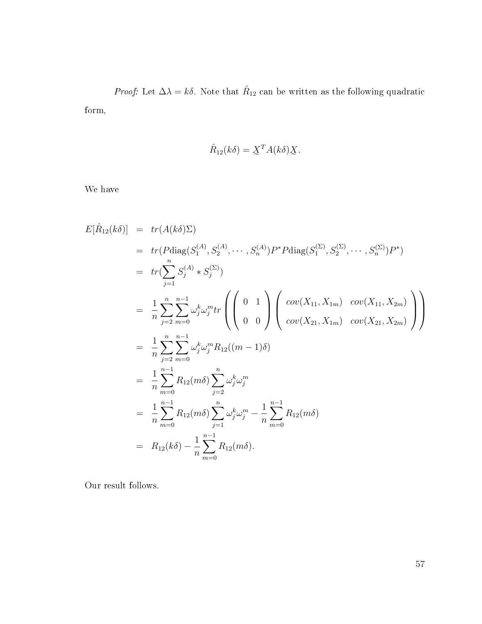*Proof:* Let  $\Delta \lambda = k \delta$ . Note that  $\hat{R}_{12}$  can be written as the following quadratic form,

$$
\hat{R}_{12}(k\delta) = \underline{X}^T A(k\delta) \underline{X}.
$$

We have

$$
E[\hat{R}_{12}(k\delta)] = tr(A(k\delta)\Sigma)
$$
  
\n
$$
= tr(Pdiag(S_1^{(A)}, S_2^{(A)}, \dots, S_n^{(A)})P^*Pdiag(S_1^{(\Sigma)}, S_2^{(\Sigma)}, \dots, S_n^{(\Sigma)})P^*)
$$
  
\n
$$
= tr(\sum_{j=1}^n S_j^{(A)} * S_j^{(\Sigma)})
$$
  
\n
$$
= \frac{1}{n} \sum_{j=2}^n \sum_{m=0}^{n-1} \omega_j^k \omega_j^m tr\left(\begin{pmatrix} 0 & 1\\ 0 & 0 \end{pmatrix} \begin{pmatrix} cov(X_{11}, X_{1m}) & cov(X_{11}, X_{2m})\\ cov(X_{21}, X_{2m}) \end{pmatrix}\right)
$$
  
\n
$$
= \frac{1}{n} \sum_{j=2}^n \sum_{m=0}^{n-1} \omega_j^k \omega_j^m R_{12}((m-1)\delta)
$$
  
\n
$$
= \frac{1}{n} \sum_{m=0}^{n-1} R_{12}(m\delta) \sum_{j=2}^n \omega_j^k \omega_j^m
$$
  
\n
$$
= \frac{1}{n} \sum_{m=0}^{n-1} R_{12}(m\delta) \sum_{j=1}^n \omega_j^k \omega_j^m - \frac{1}{n} \sum_{m=0}^{n-1} R_{12}(m\delta)
$$
  
\n
$$
= R_{12}(k\delta) - \frac{1}{n} \sum_{m=0}^{n-1} R_{12}(m\delta).
$$

Our result follows.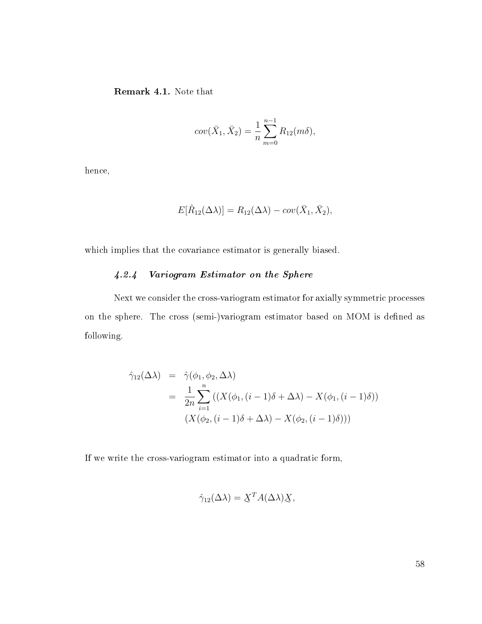Remark 4.1. Note that

$$
cov(\bar{X}_1, \bar{X}_2) = \frac{1}{n} \sum_{m=0}^{n-1} R_{12}(m\delta),
$$

hence,

$$
E[\hat{R}_{12}(\Delta \lambda)] = R_{12}(\Delta \lambda) - cov(\bar{X}_1, \bar{X}_2),
$$

which implies that the covariance estimator is generally biased.

# 4.2.4 Variogram Estimator on the Sphere

Next we consider the cross-variogram estimator for axially symmetric processes on the sphere. The cross (semi-)variogram estimator based on MOM is defined as following.

$$
\hat{\gamma}_{12}(\Delta \lambda) = \hat{\gamma}(\phi_1, \phi_2, \Delta \lambda)
$$
  
= 
$$
\frac{1}{2n} \sum_{i=1}^n ((X(\phi_1, (i-1)\delta + \Delta \lambda) - X(\phi_1, (i-1)\delta)))
$$
  

$$
(X(\phi_2, (i-1)\delta + \Delta \lambda) - X(\phi_2, (i-1)\delta)))
$$

If we write the cross-variogram estimator into a quadratic form,

$$
\hat{\gamma}_{12}(\Delta \lambda) = \underline{X}^T A(\Delta \lambda) \underline{X},
$$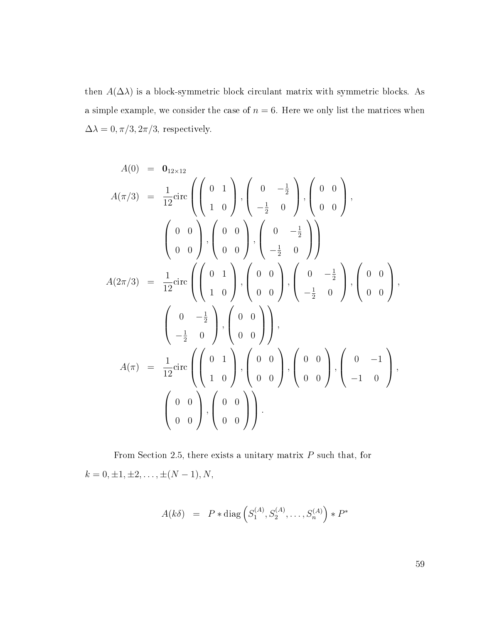then  $A(\Delta\lambda)$  is a block-symmetric block circulant matrix with symmetric blocks. As a simple example, we consider the case of  $n = 6$ . Here we only list the matrices when  $\Delta\lambda = 0, \pi/3, 2\pi/3$ , respectively.

$$
A(0) = 0_{12 \times 12}
$$
  
\n
$$
A(\pi/3) = \frac{1}{12} \text{circ} \left( \begin{pmatrix} 0 & 1 \\ 1 & 0 \end{pmatrix}, \begin{pmatrix} 0 & -\frac{1}{2} \\ -\frac{1}{2} & 0 \end{pmatrix}, \begin{pmatrix} 0 & 0 \\ 0 & 0 \end{pmatrix}, \begin{pmatrix} 0 & 0 \\ 0 & 0 \end{pmatrix}, \begin{pmatrix} 0 & 0 \\ 0 & 0 \end{pmatrix}, \begin{pmatrix} 0 & -\frac{1}{2} \\ -\frac{1}{2} & 0 \end{pmatrix} \right)
$$
  
\n
$$
A(2\pi/3) = \frac{1}{12} \text{circ} \left( \begin{pmatrix} 0 & 1 \\ 1 & 0 \end{pmatrix}, \begin{pmatrix} 0 & 0 \\ 0 & 0 \end{pmatrix}, \begin{pmatrix} 0 & -\frac{1}{2} \\ -\frac{1}{2} & 0 \end{pmatrix}, \begin{pmatrix} 0 & 0 \\ 0 & 0 \end{pmatrix} \right)
$$
  
\n
$$
A(\pi) = \frac{1}{12} \text{circ} \left( \begin{pmatrix} 0 & 1 \\ 1 & 0 \end{pmatrix}, \begin{pmatrix} 0 & 0 \\ 0 & 0 \end{pmatrix}, \begin{pmatrix} 0 & 0 \\ 0 & 0 \end{pmatrix}, \begin{pmatrix} 0 & -1 \\ -1 & 0 \end{pmatrix} \right)
$$
  
\n
$$
\left( \begin{pmatrix} 0 & 0 \\ 0 & 0 \end{pmatrix}, \begin{pmatrix} 0 & 0 \\ 0 & 0 \end{pmatrix} \right).
$$

From Section 2.5, there exists a unitary matrix  $P$  such that, for  $k = 0, \pm 1, \pm 2, \ldots, \pm (N - 1), N,$ 

$$
A(k\delta) = P * diag(S_1^{(A)}, S_2^{(A)}, \dots, S_n^{(A)}) * P^*
$$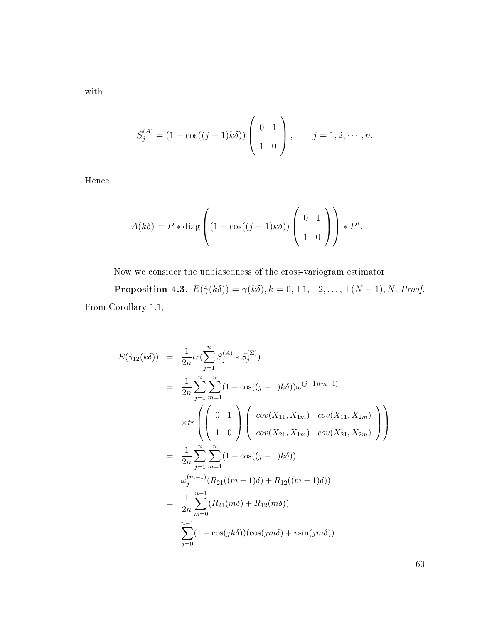with

$$
S_j^{(A)} = (1 - \cos((j-1)k\delta)) \begin{pmatrix} 0 & 1 \\ 1 & 0 \end{pmatrix}, \qquad j = 1, 2, \cdots, n.
$$

Hence,

$$
A(k\delta) = P * \text{diag}\left( (1 - \cos((j-1)k\delta)) \begin{pmatrix} 0 & 1 \\ 1 & 0 \end{pmatrix} \right) * P^*.
$$

Now we consider the unbiasedness of the cross-variogram estimator.

**Proposition 4.3.**  $E(\hat{\gamma}(k\delta)) = \gamma(k\delta), k = 0, \pm 1, \pm 2, \dots, \pm (N-1), N$ . Proof. From Corollary 1.1,

$$
E(\hat{\gamma}_{12}(k\delta)) = \frac{1}{2n} tr(\sum_{j=1}^{n} S_j^{(A)} * S_j^{(\Sigma)})
$$
  
\n
$$
= \frac{1}{2n} \sum_{j=1}^{n} \sum_{m=1}^{n} (1 - \cos((j-1)k\delta)) \omega^{(j-1)(m-1)}
$$
  
\n
$$
\times tr\left( \begin{pmatrix} 0 & 1 \\ 1 & 0 \end{pmatrix} \begin{pmatrix} cov(X_{11}, X_{1m}) & cov(X_{11}, X_{2m}) \\ cov(X_{21}, X_{1m}) & cov(X_{21}, X_{2m}) \end{pmatrix} \right)
$$
  
\n
$$
= \frac{1}{2n} \sum_{j=1}^{n} \sum_{m=1}^{n} (1 - \cos((j-1)k\delta))
$$
  
\n
$$
\omega_j^{(m-1)}(R_{21}((m-1)\delta) + R_{12}((m-1)\delta))
$$
  
\n
$$
= \frac{1}{2n} \sum_{m=0}^{n-1} (R_{21}(m\delta) + R_{12}(m\delta))
$$
  
\n
$$
\sum_{j=0}^{n-1} (1 - \cos(jk\delta))(\cos(jm\delta) + i\sin(jm\delta)).
$$

60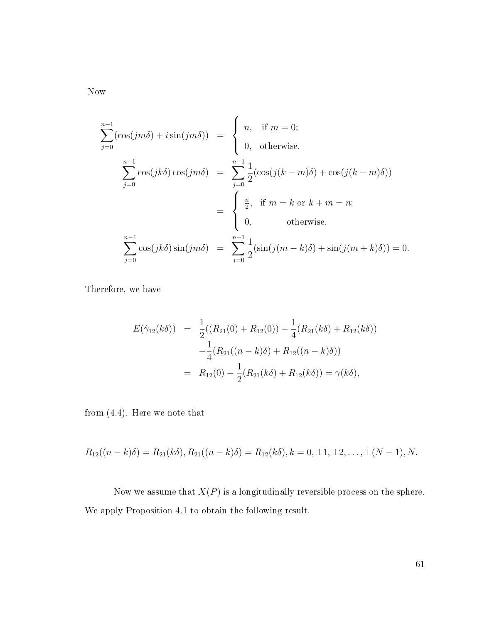Now

$$
\sum_{j=0}^{n-1} (\cos(jm\delta) + i \sin(jm\delta)) = \begin{cases} n, & \text{if } m = 0; \\ 0, & \text{otherwise.} \end{cases}
$$

$$
\sum_{j=0}^{n-1} \cos(jk\delta) \cos(jm\delta) = \sum_{j=0}^{n-1} \frac{1}{2} (\cos(j(k-m)\delta) + \cos(j(k+m)\delta))
$$

$$
= \begin{cases} \frac{n}{2}, & \text{if } m = k \text{ or } k+m = n; \\ 0, & \text{otherwise.} \end{cases}
$$

$$
\sum_{j=0}^{n-1} \cos(jk\delta) \sin(jm\delta) = \sum_{j=0}^{n-1} \frac{1}{2} (\sin(j(m-k)\delta) + \sin(j(m+k)\delta)) = 0.
$$

Therefore, we have

$$
E(\hat{\gamma}_{12}(k\delta)) = \frac{1}{2}((R_{21}(0) + R_{12}(0)) - \frac{1}{4}(R_{21}(k\delta) + R_{12}(k\delta))
$$
  

$$
-\frac{1}{4}(R_{21}((n-k)\delta) + R_{12}((n-k)\delta))
$$
  

$$
= R_{12}(0) - \frac{1}{2}(R_{21}(k\delta) + R_{12}(k\delta)) = \gamma(k\delta),
$$

from [\(4.4\)](#page-54-0). Here we note that

$$
R_{12}((n-k)\delta) = R_{21}(k\delta), R_{21}((n-k)\delta) = R_{12}(k\delta), k = 0, \pm 1, \pm 2, \ldots, \pm (N-1), N.
$$

Now we assume that  $X(P)$  is a longitudinally reversible process on the sphere. We apply Proposition 4.1 to obtain the following result.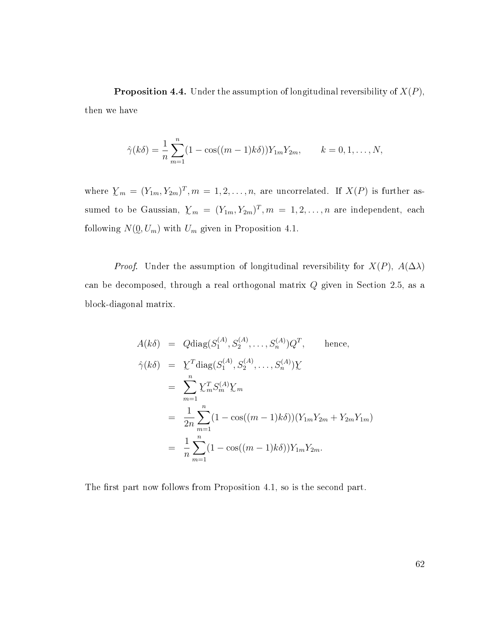**Proposition 4.4.** Under the assumption of longitudinal reversibility of  $X(P)$ , then we have

$$
\hat{\gamma}(k\delta) = \frac{1}{n} \sum_{m=1}^{n} (1 - \cos((m-1)k\delta)) Y_{1m} Y_{2m}, \qquad k = 0, 1, \dots, N,
$$

where  $\mathcal{Y}_m = (Y_{1m}, Y_{2m})^T, m = 1, 2, \ldots, n$ , are uncorrelated. If  $X(P)$  is further assumed to be Gaussian,  $\sum_{m} = (Y_{1m}, Y_{2m})^T, m = 1, 2, ..., n$  are independent, each following  $N(\mathbf{0}, U_m)$  with  $U_m$  given in Proposition 4.1.

*Proof.* Under the assumption of longitudinal reversibility for  $X(P)$ ,  $A(\Delta\lambda)$ can be decomposed, through a real orthogonal matrix Q given in Section 2.5, as a block-diagonal matrix.

$$
A(k\delta) = Q \text{diag}(S_1^{(A)}, S_2^{(A)}, \dots, S_n^{(A)}) Q^T, \text{ hence,}
$$
  
\n
$$
\hat{\gamma}(k\delta) = \sum_{m=1}^n \sum_{m=1}^T S_m^{(A)} \sum_m
$$
  
\n
$$
= \sum_{m=1}^n \sum_{m=1}^n (1 - \cos((m-1)k\delta)) (Y_{1m} Y_{2m} + Y_{2m} Y_{1m})
$$
  
\n
$$
= \frac{1}{n} \sum_{m=1}^n (1 - \cos((m-1)k\delta)) Y_{1m} Y_{2m}.
$$

The first part now follows from Proposition 4.1, so is the second part.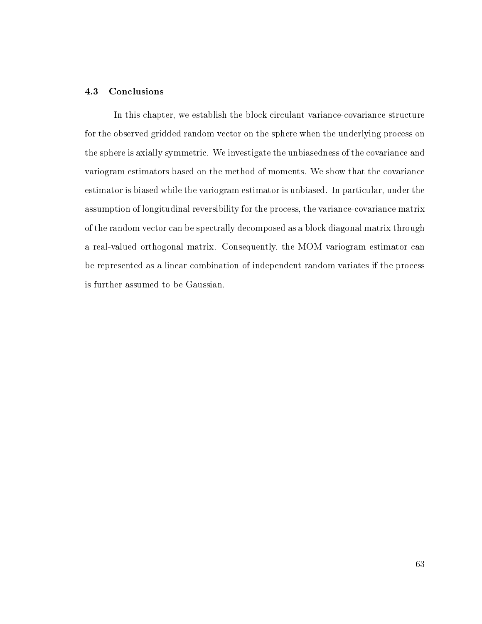### 4.3 Conclusions

In this chapter, we establish the block circulant variance-covariance structure for the observed gridded random vector on the sphere when the underlying process on the sphere is axially symmetric. We investigate the unbiasedness of the covariance and variogram estimators based on the method of moments. We show that the covariance estimator is biased while the variogram estimator is unbiased. In particular, under the assumption of longitudinal reversibility for the process, the variance-covariance matrix of the random vector can be spectrally decomposed as a block diagonal matrix through a real-valued orthogonal matrix. Consequently, the MOM variogram estimator can be represented as a linear combination of independent random variates if the process is further assumed to be Gaussian.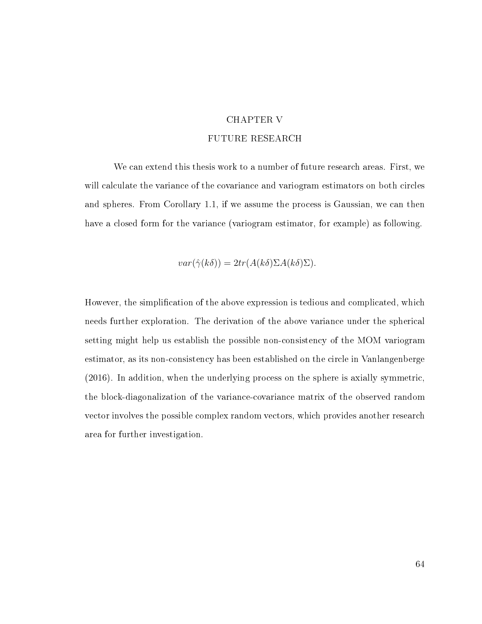# CHAPTER V

# FUTURE RESEARCH

We can extend this thesis work to a number of future research areas. First, we will calculate the variance of the covariance and variogram estimators on both circles and spheres. From Corollary 1.1, if we assume the process is Gaussian, we can then have a closed form for the variance (variogram estimator, for example) as following.

$$
var(\hat{\gamma}(k\delta)) = 2tr(A(k\delta)\Sigma A(k\delta)\Sigma).
$$

However, the simplication of the above expression is tedious and complicated, which needs further exploration. The derivation of the above variance under the spherical setting might help us establish the possible non-consistency of the MOM variogram estimator, as its non-consistency has been established on the circle in Vanlangenberge (2016). In addition, when the underlying process on the sphere is axially symmetric, the block-diagonalization of the variance-covariance matrix of the observed random vector involves the possible complex random vectors, which provides another research area for further investigation.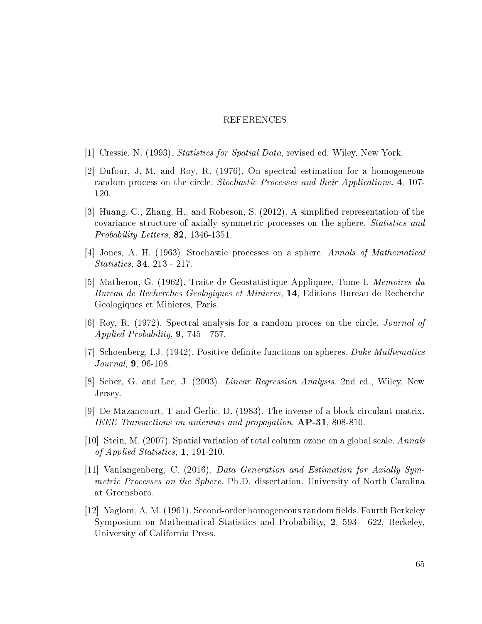#### REFERENCES

- [1] Cressie, N. (1993). Statistics for Spatial Data, revised ed. Wiley, New York.
- [2] Dufour, J.-M. and Roy, R. (1976). On spectral estimation for a homogeneous random process on the circle. Stochastic Processes and their Applications. 4, 107- 120.
- [3] Huang, C., Zhang, H., and Robeson, S. (2012). A simplied representation of the covariance structure of axially symmetric processes on the sphere. Statistics and Probability Letters, 82, 1346-1351.
- [4] Jones, A. H. (1963). Stochastic processes on a sphere. Annals of Mathematical Statistics, 34, 213 - 217.
- [5] Matheron, G. (1962). Traite de Geostatistique Appliquee, Tome I. Memoires du Bureau de Recherches Geologiques et Minieres, 14, Editions Bureau de Recherche Geologiques et Minieres, Paris.
- [6] Roy, R. (1972). Spectral analysis for a random proces on the circle. Journal of Applied Probability, 9, 745 - 757.
- [7] Schoenberg, I.J. (1942). Positive definite functions on spheres. Duke Mathematics Journal, 9, 96-108.
- [8] Seber, G. and Lee, J. (2003). Linear Regression Analysis. 2nd ed., Wiley, New Jersey.
- [9] De Mazancourt, T and Gerlic, D. (1983). The inverse of a block-circulant matrix. IEEE Transactions on antennas and propagation,  $AP-31$ , 808-810.
- [10] Stein, M. (2007). Spatial variation of total column ozone on a global scale. Annals of Applied Statistics, 1, 191-210.
- [11] Vanlangenberg, C. (2016). Data Generation and Estimation for Axially Symmetric Processes on the Sphere. Ph.D. dissertation. University of North Carolina at Greensboro.
- [12] Yaglom, A. M. (1961). Second-order homogeneous random fields. Fourth Berkeley Symposium on Mathematical Statistics and Probability, 2, 593 - 622, Berkeley, University of California Press.